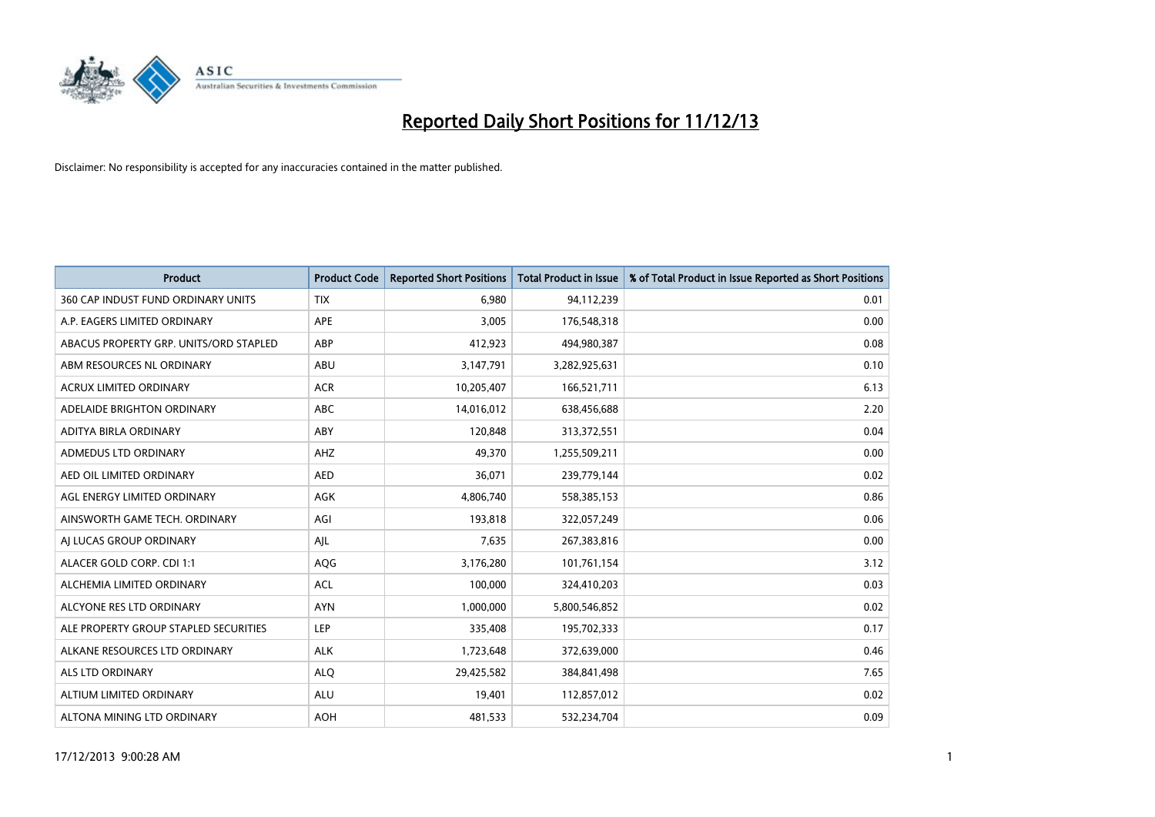

| <b>Product</b>                         | <b>Product Code</b> | <b>Reported Short Positions</b> | <b>Total Product in Issue</b> | % of Total Product in Issue Reported as Short Positions |
|----------------------------------------|---------------------|---------------------------------|-------------------------------|---------------------------------------------------------|
| 360 CAP INDUST FUND ORDINARY UNITS     | <b>TIX</b>          | 6,980                           | 94,112,239                    | 0.01                                                    |
| A.P. EAGERS LIMITED ORDINARY           | APE                 | 3,005                           | 176,548,318                   | 0.00                                                    |
| ABACUS PROPERTY GRP. UNITS/ORD STAPLED | ABP                 | 412,923                         | 494,980,387                   | 0.08                                                    |
| ABM RESOURCES NL ORDINARY              | ABU                 | 3,147,791                       | 3,282,925,631                 | 0.10                                                    |
| <b>ACRUX LIMITED ORDINARY</b>          | <b>ACR</b>          | 10,205,407                      | 166,521,711                   | 6.13                                                    |
| ADELAIDE BRIGHTON ORDINARY             | ABC                 | 14,016,012                      | 638,456,688                   | 2.20                                                    |
| ADITYA BIRLA ORDINARY                  | ABY                 | 120,848                         | 313,372,551                   | 0.04                                                    |
| ADMEDUS LTD ORDINARY                   | AHZ                 | 49,370                          | 1,255,509,211                 | 0.00                                                    |
| AED OIL LIMITED ORDINARY               | <b>AED</b>          | 36,071                          | 239,779,144                   | 0.02                                                    |
| AGL ENERGY LIMITED ORDINARY            | AGK                 | 4,806,740                       | 558,385,153                   | 0.86                                                    |
| AINSWORTH GAME TECH. ORDINARY          | AGI                 | 193,818                         | 322,057,249                   | 0.06                                                    |
| AI LUCAS GROUP ORDINARY                | AJL                 | 7,635                           | 267,383,816                   | 0.00                                                    |
| ALACER GOLD CORP. CDI 1:1              | AQG                 | 3,176,280                       | 101,761,154                   | 3.12                                                    |
| ALCHEMIA LIMITED ORDINARY              | <b>ACL</b>          | 100,000                         | 324,410,203                   | 0.03                                                    |
| ALCYONE RES LTD ORDINARY               | <b>AYN</b>          | 1,000,000                       | 5,800,546,852                 | 0.02                                                    |
| ALE PROPERTY GROUP STAPLED SECURITIES  | LEP                 | 335,408                         | 195,702,333                   | 0.17                                                    |
| ALKANE RESOURCES LTD ORDINARY          | <b>ALK</b>          | 1,723,648                       | 372,639,000                   | 0.46                                                    |
| ALS LTD ORDINARY                       | <b>ALQ</b>          | 29,425,582                      | 384,841,498                   | 7.65                                                    |
| ALTIUM LIMITED ORDINARY                | <b>ALU</b>          | 19,401                          | 112,857,012                   | 0.02                                                    |
| ALTONA MINING LTD ORDINARY             | <b>AOH</b>          | 481,533                         | 532,234,704                   | 0.09                                                    |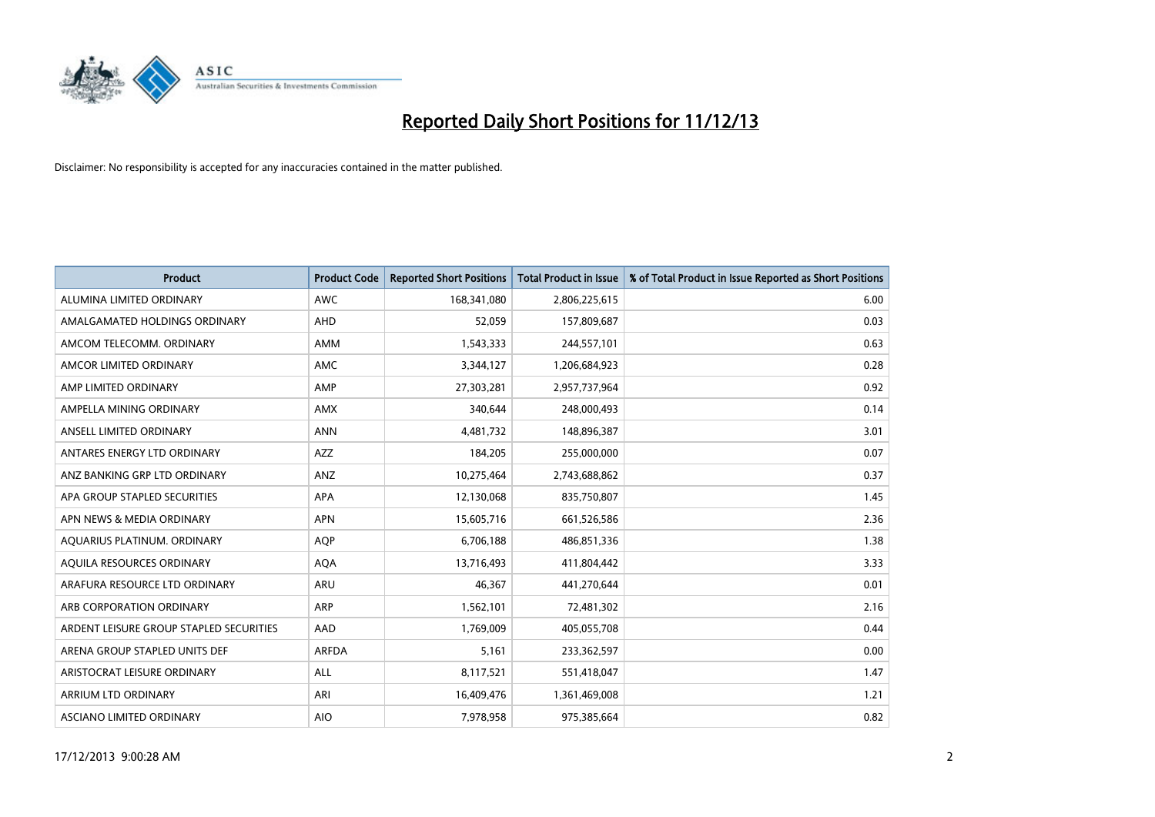

| <b>Product</b>                          | <b>Product Code</b> | <b>Reported Short Positions</b> | <b>Total Product in Issue</b> | % of Total Product in Issue Reported as Short Positions |
|-----------------------------------------|---------------------|---------------------------------|-------------------------------|---------------------------------------------------------|
| ALUMINA LIMITED ORDINARY                | <b>AWC</b>          | 168,341,080                     | 2,806,225,615                 | 6.00                                                    |
| AMALGAMATED HOLDINGS ORDINARY           | AHD                 | 52,059                          | 157,809,687                   | 0.03                                                    |
| AMCOM TELECOMM. ORDINARY                | AMM                 | 1,543,333                       | 244,557,101                   | 0.63                                                    |
| AMCOR LIMITED ORDINARY                  | AMC                 | 3,344,127                       | 1,206,684,923                 | 0.28                                                    |
| AMP LIMITED ORDINARY                    | AMP                 | 27,303,281                      | 2,957,737,964                 | 0.92                                                    |
| AMPELLA MINING ORDINARY                 | <b>AMX</b>          | 340,644                         | 248,000,493                   | 0.14                                                    |
| ANSELL LIMITED ORDINARY                 | <b>ANN</b>          | 4,481,732                       | 148,896,387                   | 3.01                                                    |
| ANTARES ENERGY LTD ORDINARY             | AZZ                 | 184,205                         | 255,000,000                   | 0.07                                                    |
| ANZ BANKING GRP LTD ORDINARY            | ANZ                 | 10,275,464                      | 2,743,688,862                 | 0.37                                                    |
| APA GROUP STAPLED SECURITIES            | <b>APA</b>          | 12,130,068                      | 835,750,807                   | 1.45                                                    |
| APN NEWS & MEDIA ORDINARY               | <b>APN</b>          | 15,605,716                      | 661,526,586                   | 2.36                                                    |
| AQUARIUS PLATINUM. ORDINARY             | <b>AOP</b>          | 6,706,188                       | 486,851,336                   | 1.38                                                    |
| AQUILA RESOURCES ORDINARY               | <b>AQA</b>          | 13,716,493                      | 411,804,442                   | 3.33                                                    |
| ARAFURA RESOURCE LTD ORDINARY           | <b>ARU</b>          | 46,367                          | 441,270,644                   | 0.01                                                    |
| ARB CORPORATION ORDINARY                | <b>ARP</b>          | 1,562,101                       | 72,481,302                    | 2.16                                                    |
| ARDENT LEISURE GROUP STAPLED SECURITIES | AAD                 | 1,769,009                       | 405,055,708                   | 0.44                                                    |
| ARENA GROUP STAPLED UNITS DEF           | <b>ARFDA</b>        | 5,161                           | 233,362,597                   | 0.00                                                    |
| ARISTOCRAT LEISURE ORDINARY             | ALL                 | 8,117,521                       | 551,418,047                   | 1.47                                                    |
| ARRIUM LTD ORDINARY                     | ARI                 | 16,409,476                      | 1,361,469,008                 | 1.21                                                    |
| ASCIANO LIMITED ORDINARY                | <b>AIO</b>          | 7,978,958                       | 975,385,664                   | 0.82                                                    |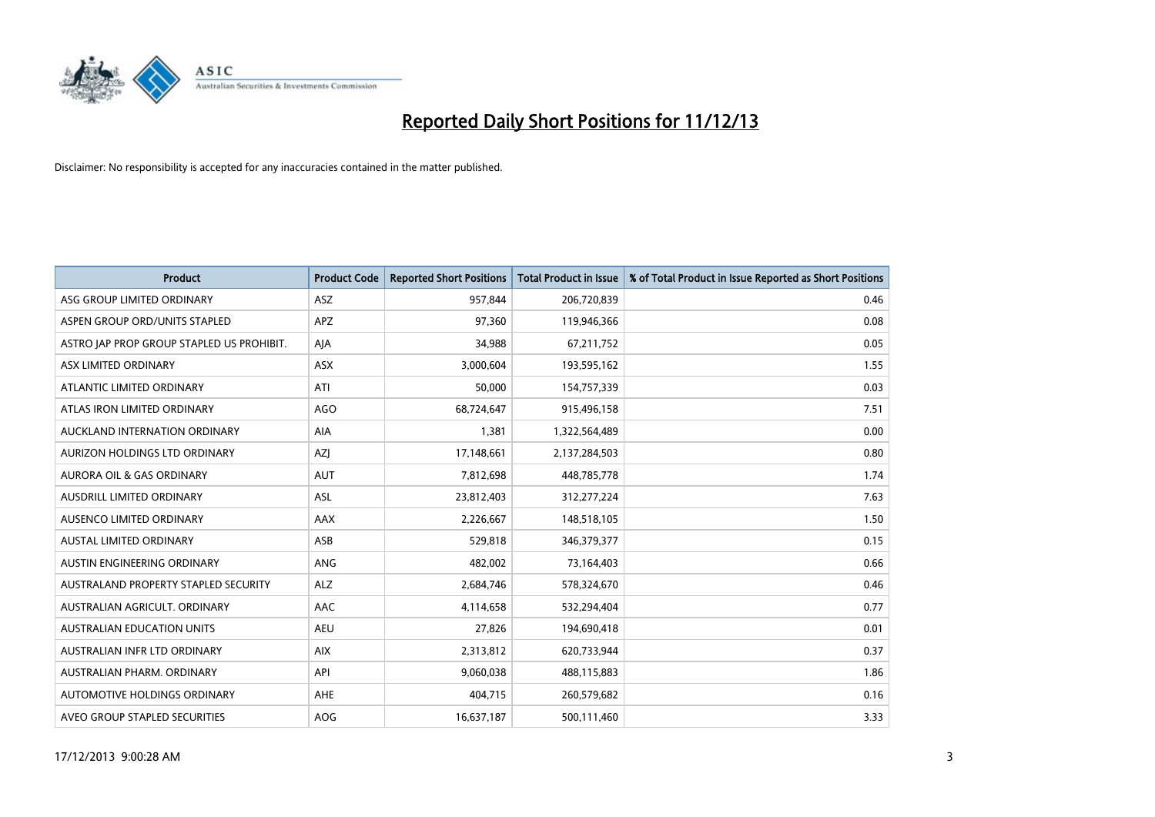

| <b>Product</b>                            | <b>Product Code</b> | <b>Reported Short Positions</b> | <b>Total Product in Issue</b> | % of Total Product in Issue Reported as Short Positions |
|-------------------------------------------|---------------------|---------------------------------|-------------------------------|---------------------------------------------------------|
| ASG GROUP LIMITED ORDINARY                | <b>ASZ</b>          | 957,844                         | 206,720,839                   | 0.46                                                    |
| ASPEN GROUP ORD/UNITS STAPLED             | APZ                 | 97,360                          | 119,946,366                   | 0.08                                                    |
| ASTRO JAP PROP GROUP STAPLED US PROHIBIT. | AJA                 | 34,988                          | 67,211,752                    | 0.05                                                    |
| ASX LIMITED ORDINARY                      | ASX                 | 3,000,604                       | 193,595,162                   | 1.55                                                    |
| ATLANTIC LIMITED ORDINARY                 | ATI                 | 50,000                          | 154,757,339                   | 0.03                                                    |
| ATLAS IRON LIMITED ORDINARY               | <b>AGO</b>          | 68,724,647                      | 915,496,158                   | 7.51                                                    |
| AUCKLAND INTERNATION ORDINARY             | AIA                 | 1,381                           | 1,322,564,489                 | 0.00                                                    |
| AURIZON HOLDINGS LTD ORDINARY             | AZJ                 | 17,148,661                      | 2,137,284,503                 | 0.80                                                    |
| <b>AURORA OIL &amp; GAS ORDINARY</b>      | <b>AUT</b>          | 7,812,698                       | 448,785,778                   | 1.74                                                    |
| <b>AUSDRILL LIMITED ORDINARY</b>          | <b>ASL</b>          | 23,812,403                      | 312,277,224                   | 7.63                                                    |
| AUSENCO LIMITED ORDINARY                  | AAX                 | 2,226,667                       | 148,518,105                   | 1.50                                                    |
| <b>AUSTAL LIMITED ORDINARY</b>            | ASB                 | 529,818                         | 346,379,377                   | 0.15                                                    |
| AUSTIN ENGINEERING ORDINARY               | ANG                 | 482,002                         | 73,164,403                    | 0.66                                                    |
| AUSTRALAND PROPERTY STAPLED SECURITY      | <b>ALZ</b>          | 2,684,746                       | 578,324,670                   | 0.46                                                    |
| AUSTRALIAN AGRICULT, ORDINARY             | <b>AAC</b>          | 4,114,658                       | 532,294,404                   | 0.77                                                    |
| <b>AUSTRALIAN EDUCATION UNITS</b>         | <b>AEU</b>          | 27,826                          | 194,690,418                   | 0.01                                                    |
| AUSTRALIAN INFR LTD ORDINARY              | <b>AIX</b>          | 2,313,812                       | 620,733,944                   | 0.37                                                    |
| AUSTRALIAN PHARM. ORDINARY                | API                 | 9,060,038                       | 488,115,883                   | 1.86                                                    |
| AUTOMOTIVE HOLDINGS ORDINARY              | AHE                 | 404,715                         | 260,579,682                   | 0.16                                                    |
| AVEO GROUP STAPLED SECURITIES             | AOG                 | 16,637,187                      | 500,111,460                   | 3.33                                                    |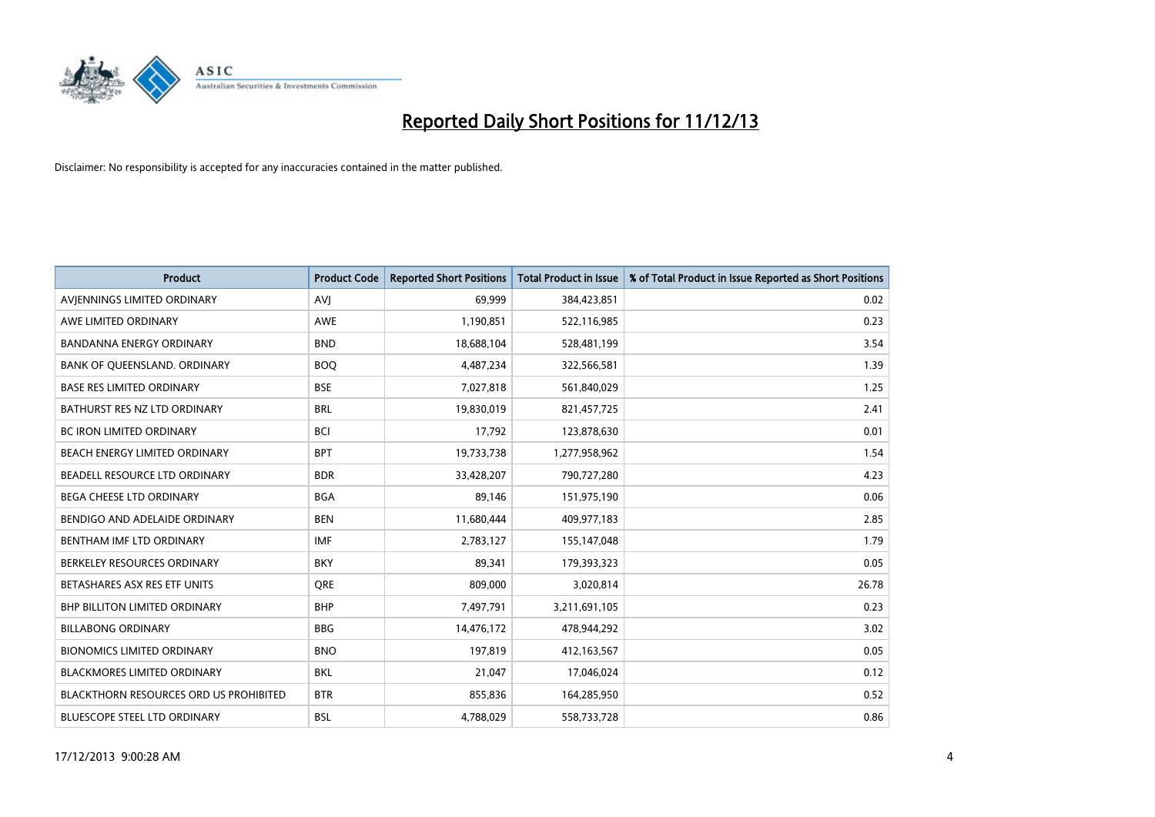

| <b>Product</b>                                | <b>Product Code</b> | <b>Reported Short Positions</b> | <b>Total Product in Issue</b> | % of Total Product in Issue Reported as Short Positions |
|-----------------------------------------------|---------------------|---------------------------------|-------------------------------|---------------------------------------------------------|
| AVIENNINGS LIMITED ORDINARY                   | <b>AVJ</b>          | 69,999                          | 384,423,851                   | 0.02                                                    |
| AWE LIMITED ORDINARY                          | AWE                 | 1,190,851                       | 522,116,985                   | 0.23                                                    |
| <b>BANDANNA ENERGY ORDINARY</b>               | <b>BND</b>          | 18,688,104                      | 528,481,199                   | 3.54                                                    |
| BANK OF QUEENSLAND. ORDINARY                  | <b>BOO</b>          | 4,487,234                       | 322,566,581                   | 1.39                                                    |
| <b>BASE RES LIMITED ORDINARY</b>              | <b>BSE</b>          | 7,027,818                       | 561,840,029                   | 1.25                                                    |
| BATHURST RES NZ LTD ORDINARY                  | <b>BRL</b>          | 19,830,019                      | 821,457,725                   | 2.41                                                    |
| <b>BC IRON LIMITED ORDINARY</b>               | <b>BCI</b>          | 17,792                          | 123,878,630                   | 0.01                                                    |
| BEACH ENERGY LIMITED ORDINARY                 | <b>BPT</b>          | 19,733,738                      | 1,277,958,962                 | 1.54                                                    |
| BEADELL RESOURCE LTD ORDINARY                 | <b>BDR</b>          | 33,428,207                      | 790,727,280                   | 4.23                                                    |
| <b>BEGA CHEESE LTD ORDINARY</b>               | <b>BGA</b>          | 89,146                          | 151,975,190                   | 0.06                                                    |
| BENDIGO AND ADELAIDE ORDINARY                 | <b>BEN</b>          | 11,680,444                      | 409,977,183                   | 2.85                                                    |
| BENTHAM IMF LTD ORDINARY                      | <b>IMF</b>          | 2,783,127                       | 155,147,048                   | 1.79                                                    |
| BERKELEY RESOURCES ORDINARY                   | <b>BKY</b>          | 89,341                          | 179,393,323                   | 0.05                                                    |
| BETASHARES ASX RES ETF UNITS                  | <b>ORE</b>          | 809,000                         | 3,020,814                     | 26.78                                                   |
| <b>BHP BILLITON LIMITED ORDINARY</b>          | <b>BHP</b>          | 7,497,791                       | 3,211,691,105                 | 0.23                                                    |
| <b>BILLABONG ORDINARY</b>                     | <b>BBG</b>          | 14,476,172                      | 478,944,292                   | 3.02                                                    |
| <b>BIONOMICS LIMITED ORDINARY</b>             | <b>BNO</b>          | 197,819                         | 412,163,567                   | 0.05                                                    |
| <b>BLACKMORES LIMITED ORDINARY</b>            | <b>BKL</b>          | 21,047                          | 17,046,024                    | 0.12                                                    |
| <b>BLACKTHORN RESOURCES ORD US PROHIBITED</b> | <b>BTR</b>          | 855,836                         | 164,285,950                   | 0.52                                                    |
| BLUESCOPE STEEL LTD ORDINARY                  | <b>BSL</b>          | 4,788,029                       | 558,733,728                   | 0.86                                                    |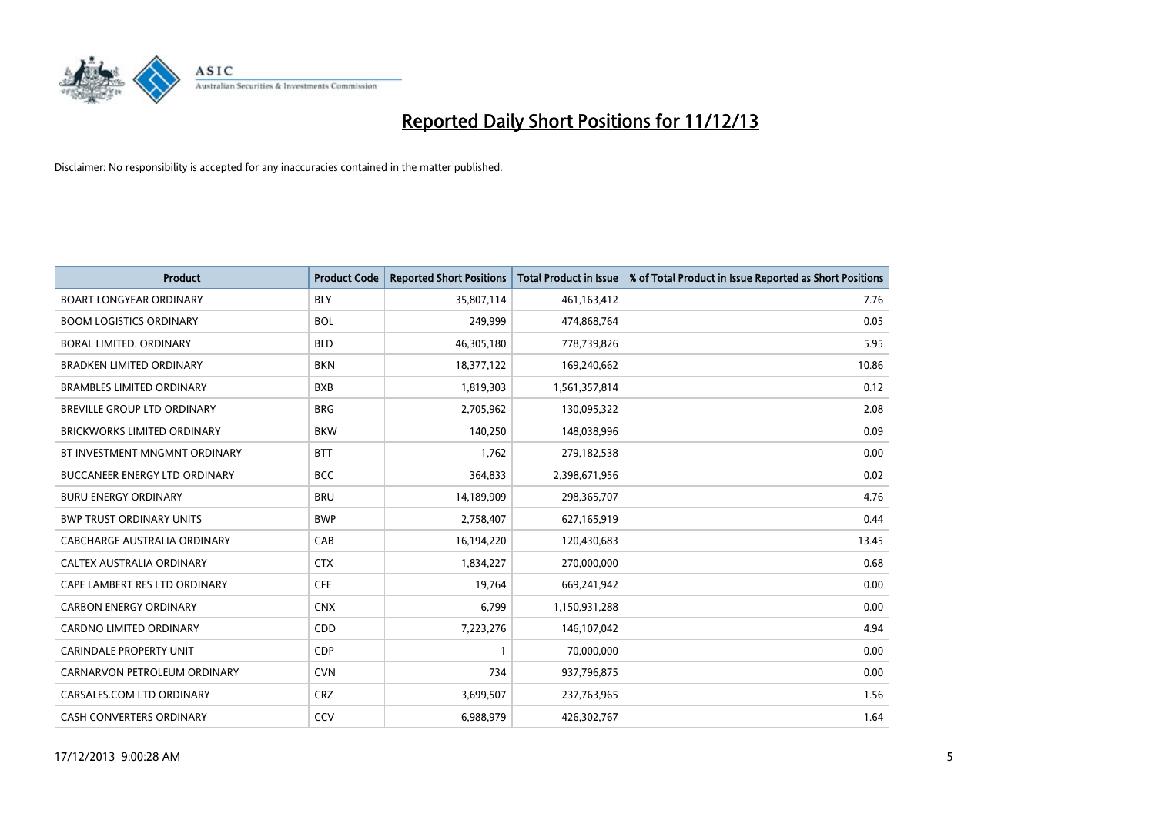

| Product                              | <b>Product Code</b> | <b>Reported Short Positions</b> | <b>Total Product in Issue</b> | % of Total Product in Issue Reported as Short Positions |
|--------------------------------------|---------------------|---------------------------------|-------------------------------|---------------------------------------------------------|
| <b>BOART LONGYEAR ORDINARY</b>       | <b>BLY</b>          | 35,807,114                      | 461,163,412                   | 7.76                                                    |
| <b>BOOM LOGISTICS ORDINARY</b>       | <b>BOL</b>          | 249,999                         | 474,868,764                   | 0.05                                                    |
| BORAL LIMITED, ORDINARY              | <b>BLD</b>          | 46,305,180                      | 778,739,826                   | 5.95                                                    |
| <b>BRADKEN LIMITED ORDINARY</b>      | <b>BKN</b>          | 18,377,122                      | 169,240,662                   | 10.86                                                   |
| <b>BRAMBLES LIMITED ORDINARY</b>     | <b>BXB</b>          | 1,819,303                       | 1,561,357,814                 | 0.12                                                    |
| BREVILLE GROUP LTD ORDINARY          | <b>BRG</b>          | 2,705,962                       | 130,095,322                   | 2.08                                                    |
| <b>BRICKWORKS LIMITED ORDINARY</b>   | <b>BKW</b>          | 140,250                         | 148,038,996                   | 0.09                                                    |
| BT INVESTMENT MNGMNT ORDINARY        | <b>BTT</b>          | 1,762                           | 279,182,538                   | 0.00                                                    |
| <b>BUCCANEER ENERGY LTD ORDINARY</b> | <b>BCC</b>          | 364,833                         | 2,398,671,956                 | 0.02                                                    |
| <b>BURU ENERGY ORDINARY</b>          | <b>BRU</b>          | 14,189,909                      | 298,365,707                   | 4.76                                                    |
| <b>BWP TRUST ORDINARY UNITS</b>      | <b>BWP</b>          | 2,758,407                       | 627,165,919                   | 0.44                                                    |
| CABCHARGE AUSTRALIA ORDINARY         | CAB                 | 16,194,220                      | 120,430,683                   | 13.45                                                   |
| CALTEX AUSTRALIA ORDINARY            | <b>CTX</b>          | 1,834,227                       | 270,000,000                   | 0.68                                                    |
| CAPE LAMBERT RES LTD ORDINARY        | <b>CFE</b>          | 19,764                          | 669,241,942                   | 0.00                                                    |
| <b>CARBON ENERGY ORDINARY</b>        | <b>CNX</b>          | 6,799                           | 1,150,931,288                 | 0.00                                                    |
| <b>CARDNO LIMITED ORDINARY</b>       | CDD                 | 7,223,276                       | 146,107,042                   | 4.94                                                    |
| <b>CARINDALE PROPERTY UNIT</b>       | <b>CDP</b>          | 1                               | 70,000,000                    | 0.00                                                    |
| CARNARVON PETROLEUM ORDINARY         | <b>CVN</b>          | 734                             | 937,796,875                   | 0.00                                                    |
| CARSALES.COM LTD ORDINARY            | <b>CRZ</b>          | 3,699,507                       | 237,763,965                   | 1.56                                                    |
| <b>CASH CONVERTERS ORDINARY</b>      | CCV                 | 6,988,979                       | 426,302,767                   | 1.64                                                    |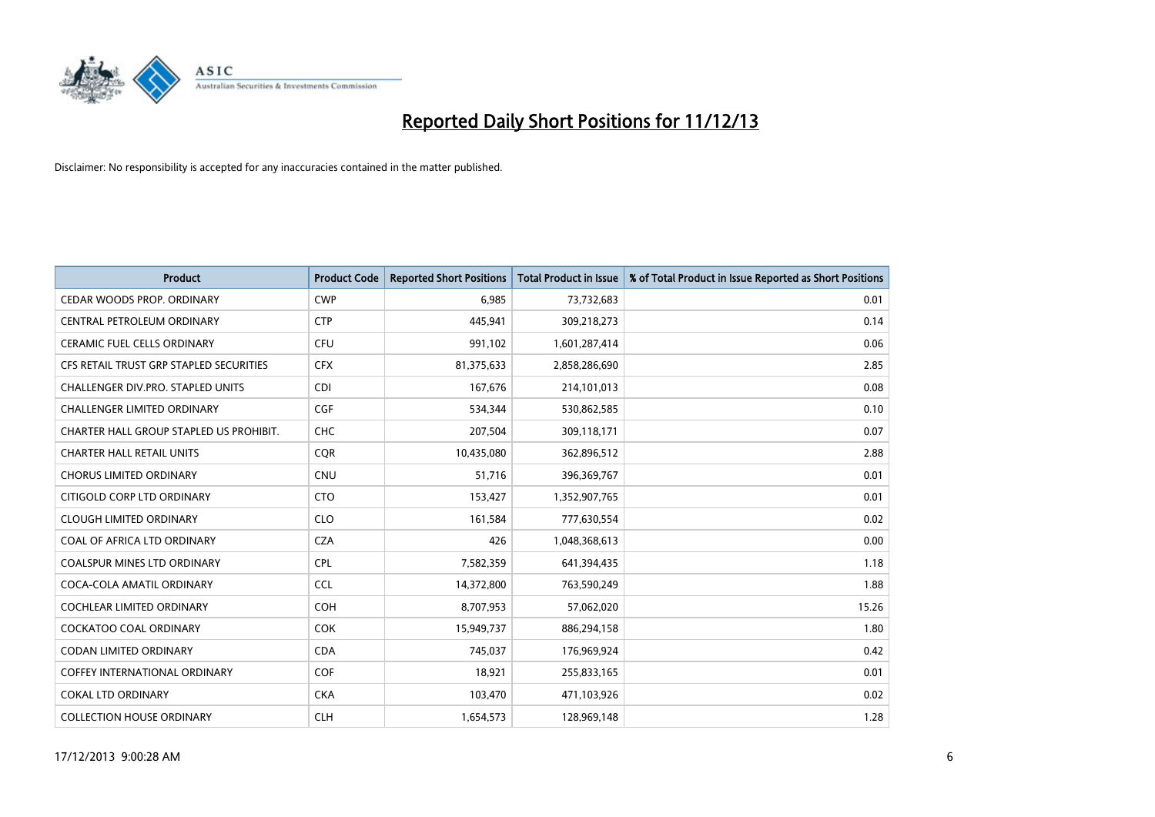

| <b>Product</b>                          | <b>Product Code</b> | <b>Reported Short Positions</b> | <b>Total Product in Issue</b> | % of Total Product in Issue Reported as Short Positions |
|-----------------------------------------|---------------------|---------------------------------|-------------------------------|---------------------------------------------------------|
| CEDAR WOODS PROP. ORDINARY              | <b>CWP</b>          | 6,985                           | 73,732,683                    | 0.01                                                    |
| CENTRAL PETROLEUM ORDINARY              | <b>CTP</b>          | 445,941                         | 309,218,273                   | 0.14                                                    |
| <b>CERAMIC FUEL CELLS ORDINARY</b>      | <b>CFU</b>          | 991,102                         | 1,601,287,414                 | 0.06                                                    |
| CFS RETAIL TRUST GRP STAPLED SECURITIES | <b>CFX</b>          | 81,375,633                      | 2,858,286,690                 | 2.85                                                    |
| CHALLENGER DIV.PRO. STAPLED UNITS       | <b>CDI</b>          | 167,676                         | 214,101,013                   | 0.08                                                    |
| <b>CHALLENGER LIMITED ORDINARY</b>      | <b>CGF</b>          | 534,344                         | 530,862,585                   | 0.10                                                    |
| CHARTER HALL GROUP STAPLED US PROHIBIT. | <b>CHC</b>          | 207,504                         | 309,118,171                   | 0.07                                                    |
| <b>CHARTER HALL RETAIL UNITS</b>        | <b>COR</b>          | 10,435,080                      | 362,896,512                   | 2.88                                                    |
| <b>CHORUS LIMITED ORDINARY</b>          | <b>CNU</b>          | 51,716                          | 396,369,767                   | 0.01                                                    |
| CITIGOLD CORP LTD ORDINARY              | <b>CTO</b>          | 153,427                         | 1,352,907,765                 | 0.01                                                    |
| <b>CLOUGH LIMITED ORDINARY</b>          | <b>CLO</b>          | 161,584                         | 777,630,554                   | 0.02                                                    |
| COAL OF AFRICA LTD ORDINARY             | <b>CZA</b>          | 426                             | 1,048,368,613                 | 0.00                                                    |
| <b>COALSPUR MINES LTD ORDINARY</b>      | <b>CPL</b>          | 7,582,359                       | 641,394,435                   | 1.18                                                    |
| COCA-COLA AMATIL ORDINARY               | <b>CCL</b>          | 14,372,800                      | 763,590,249                   | 1.88                                                    |
| <b>COCHLEAR LIMITED ORDINARY</b>        | <b>COH</b>          | 8,707,953                       | 57,062,020                    | 15.26                                                   |
| COCKATOO COAL ORDINARY                  | <b>COK</b>          | 15,949,737                      | 886,294,158                   | 1.80                                                    |
| CODAN LIMITED ORDINARY                  | <b>CDA</b>          | 745,037                         | 176,969,924                   | 0.42                                                    |
| <b>COFFEY INTERNATIONAL ORDINARY</b>    | <b>COF</b>          | 18,921                          | 255,833,165                   | 0.01                                                    |
| <b>COKAL LTD ORDINARY</b>               | <b>CKA</b>          | 103,470                         | 471,103,926                   | 0.02                                                    |
| <b>COLLECTION HOUSE ORDINARY</b>        | <b>CLH</b>          | 1,654,573                       | 128,969,148                   | 1.28                                                    |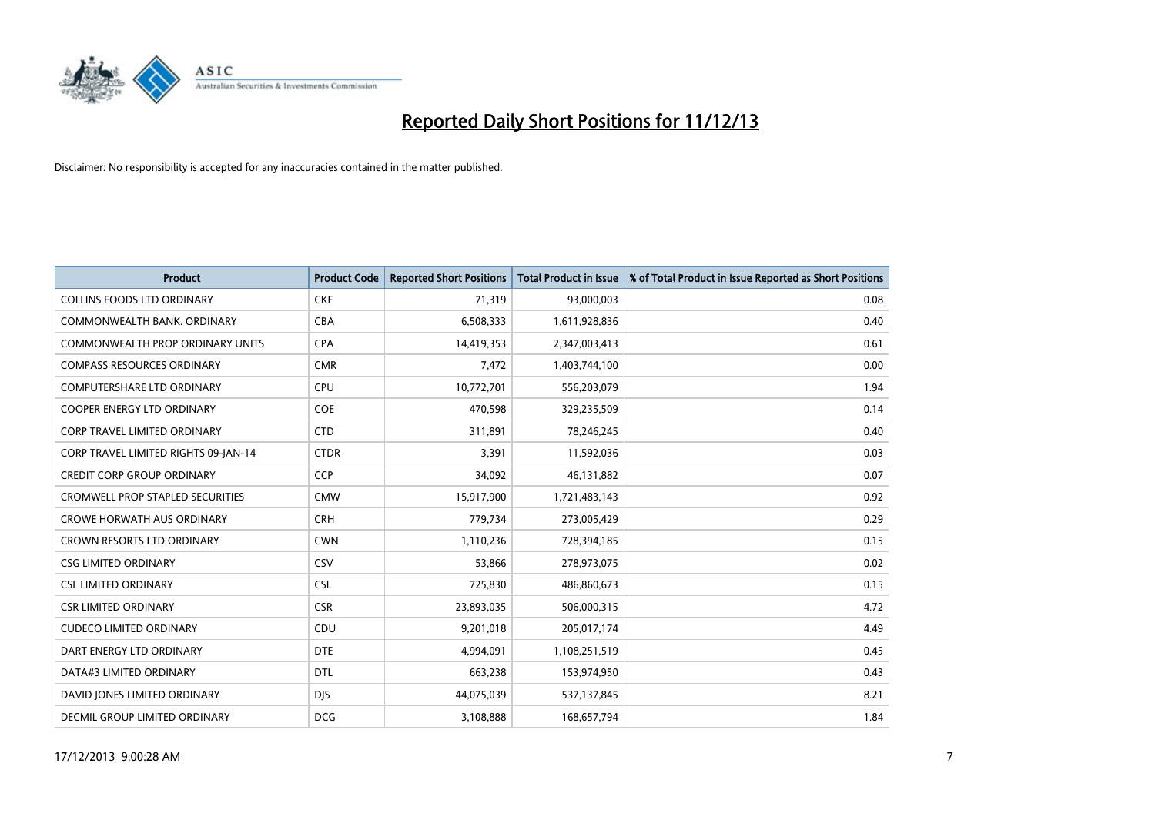

| <b>Product</b>                          | <b>Product Code</b> | <b>Reported Short Positions</b> | <b>Total Product in Issue</b> | % of Total Product in Issue Reported as Short Positions |
|-----------------------------------------|---------------------|---------------------------------|-------------------------------|---------------------------------------------------------|
| <b>COLLINS FOODS LTD ORDINARY</b>       | <b>CKF</b>          | 71,319                          | 93,000,003                    | 0.08                                                    |
| COMMONWEALTH BANK, ORDINARY             | <b>CBA</b>          | 6,508,333                       | 1,611,928,836                 | 0.40                                                    |
| <b>COMMONWEALTH PROP ORDINARY UNITS</b> | <b>CPA</b>          | 14,419,353                      | 2,347,003,413                 | 0.61                                                    |
| <b>COMPASS RESOURCES ORDINARY</b>       | <b>CMR</b>          | 7,472                           | 1,403,744,100                 | 0.00                                                    |
| <b>COMPUTERSHARE LTD ORDINARY</b>       | <b>CPU</b>          | 10,772,701                      | 556,203,079                   | 1.94                                                    |
| <b>COOPER ENERGY LTD ORDINARY</b>       | <b>COE</b>          | 470,598                         | 329,235,509                   | 0.14                                                    |
| <b>CORP TRAVEL LIMITED ORDINARY</b>     | <b>CTD</b>          | 311,891                         | 78,246,245                    | 0.40                                                    |
| CORP TRAVEL LIMITED RIGHTS 09-JAN-14    | <b>CTDR</b>         | 3,391                           | 11,592,036                    | 0.03                                                    |
| <b>CREDIT CORP GROUP ORDINARY</b>       | CCP                 | 34,092                          | 46,131,882                    | 0.07                                                    |
| <b>CROMWELL PROP STAPLED SECURITIES</b> | <b>CMW</b>          | 15,917,900                      | 1,721,483,143                 | 0.92                                                    |
| <b>CROWE HORWATH AUS ORDINARY</b>       | <b>CRH</b>          | 779,734                         | 273,005,429                   | 0.29                                                    |
| <b>CROWN RESORTS LTD ORDINARY</b>       | <b>CWN</b>          | 1,110,236                       | 728,394,185                   | 0.15                                                    |
| <b>CSG LIMITED ORDINARY</b>             | CSV                 | 53,866                          | 278,973,075                   | 0.02                                                    |
| <b>CSL LIMITED ORDINARY</b>             | <b>CSL</b>          | 725,830                         | 486,860,673                   | 0.15                                                    |
| <b>CSR LIMITED ORDINARY</b>             | <b>CSR</b>          | 23,893,035                      | 506,000,315                   | 4.72                                                    |
| <b>CUDECO LIMITED ORDINARY</b>          | CDU                 | 9,201,018                       | 205,017,174                   | 4.49                                                    |
| DART ENERGY LTD ORDINARY                | <b>DTE</b>          | 4,994,091                       | 1,108,251,519                 | 0.45                                                    |
| DATA#3 LIMITED ORDINARY                 | <b>DTL</b>          | 663,238                         | 153,974,950                   | 0.43                                                    |
| DAVID JONES LIMITED ORDINARY            | <b>DJS</b>          | 44,075,039                      | 537,137,845                   | 8.21                                                    |
| DECMIL GROUP LIMITED ORDINARY           | <b>DCG</b>          | 3,108,888                       | 168,657,794                   | 1.84                                                    |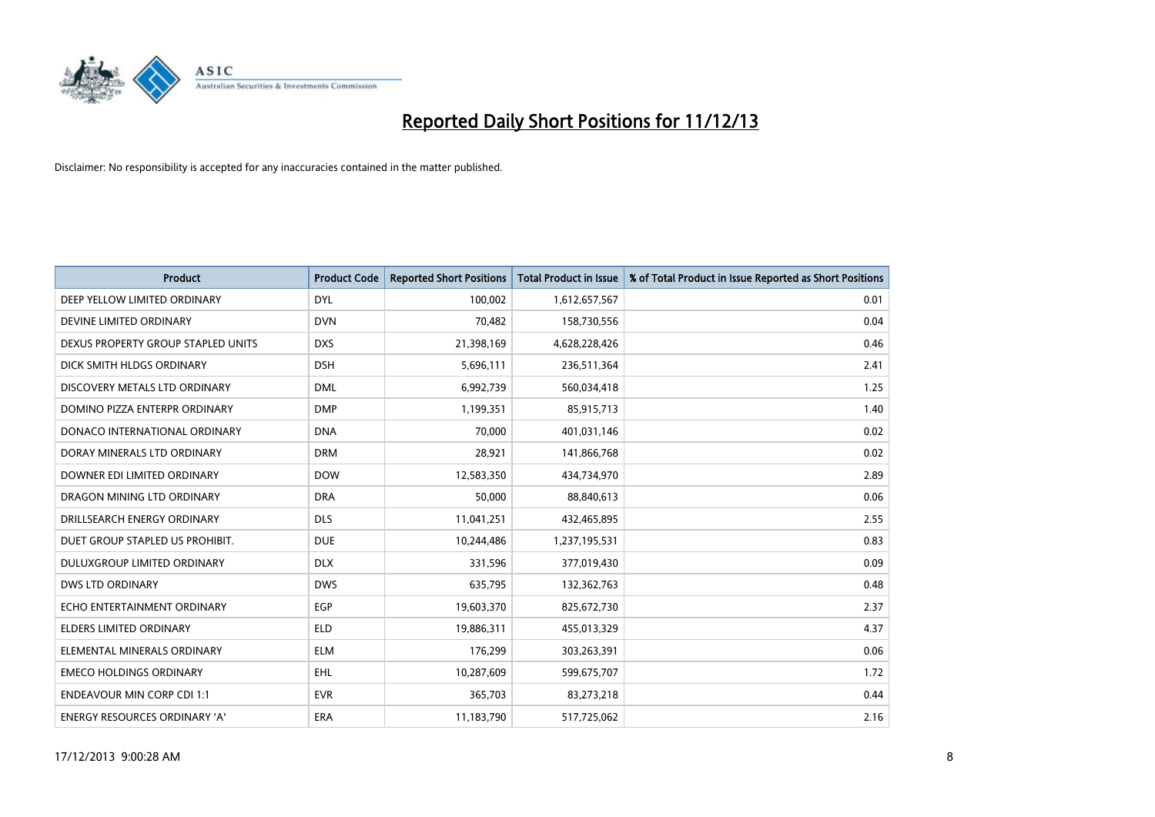

| <b>Product</b>                     | <b>Product Code</b> | <b>Reported Short Positions</b> | <b>Total Product in Issue</b> | % of Total Product in Issue Reported as Short Positions |
|------------------------------------|---------------------|---------------------------------|-------------------------------|---------------------------------------------------------|
| DEEP YELLOW LIMITED ORDINARY       | <b>DYL</b>          | 100,002                         | 1,612,657,567                 | 0.01                                                    |
| DEVINE LIMITED ORDINARY            | <b>DVN</b>          | 70,482                          | 158,730,556                   | 0.04                                                    |
| DEXUS PROPERTY GROUP STAPLED UNITS | <b>DXS</b>          | 21,398,169                      | 4,628,228,426                 | 0.46                                                    |
| DICK SMITH HLDGS ORDINARY          | <b>DSH</b>          | 5,696,111                       | 236,511,364                   | 2.41                                                    |
| DISCOVERY METALS LTD ORDINARY      | <b>DML</b>          | 6,992,739                       | 560,034,418                   | 1.25                                                    |
| DOMINO PIZZA ENTERPR ORDINARY      | <b>DMP</b>          | 1,199,351                       | 85,915,713                    | 1.40                                                    |
| DONACO INTERNATIONAL ORDINARY      | <b>DNA</b>          | 70,000                          | 401,031,146                   | 0.02                                                    |
| DORAY MINERALS LTD ORDINARY        | <b>DRM</b>          | 28,921                          | 141,866,768                   | 0.02                                                    |
| DOWNER EDI LIMITED ORDINARY        | <b>DOW</b>          | 12,583,350                      | 434,734,970                   | 2.89                                                    |
| DRAGON MINING LTD ORDINARY         | <b>DRA</b>          | 50,000                          | 88,840,613                    | 0.06                                                    |
| DRILLSEARCH ENERGY ORDINARY        | <b>DLS</b>          | 11,041,251                      | 432,465,895                   | 2.55                                                    |
| DUET GROUP STAPLED US PROHIBIT.    | <b>DUE</b>          | 10,244,486                      | 1,237,195,531                 | 0.83                                                    |
| DULUXGROUP LIMITED ORDINARY        | <b>DLX</b>          | 331,596                         | 377,019,430                   | 0.09                                                    |
| <b>DWS LTD ORDINARY</b>            | <b>DWS</b>          | 635,795                         | 132,362,763                   | 0.48                                                    |
| ECHO ENTERTAINMENT ORDINARY        | EGP                 | 19,603,370                      | 825,672,730                   | 2.37                                                    |
| ELDERS LIMITED ORDINARY            | <b>ELD</b>          | 19,886,311                      | 455,013,329                   | 4.37                                                    |
| ELEMENTAL MINERALS ORDINARY        | <b>ELM</b>          | 176,299                         | 303,263,391                   | 0.06                                                    |
| <b>EMECO HOLDINGS ORDINARY</b>     | <b>EHL</b>          | 10,287,609                      | 599,675,707                   | 1.72                                                    |
| <b>ENDEAVOUR MIN CORP CDI 1:1</b>  | <b>EVR</b>          | 365,703                         | 83,273,218                    | 0.44                                                    |
| ENERGY RESOURCES ORDINARY 'A'      | ERA                 | 11,183,790                      | 517,725,062                   | 2.16                                                    |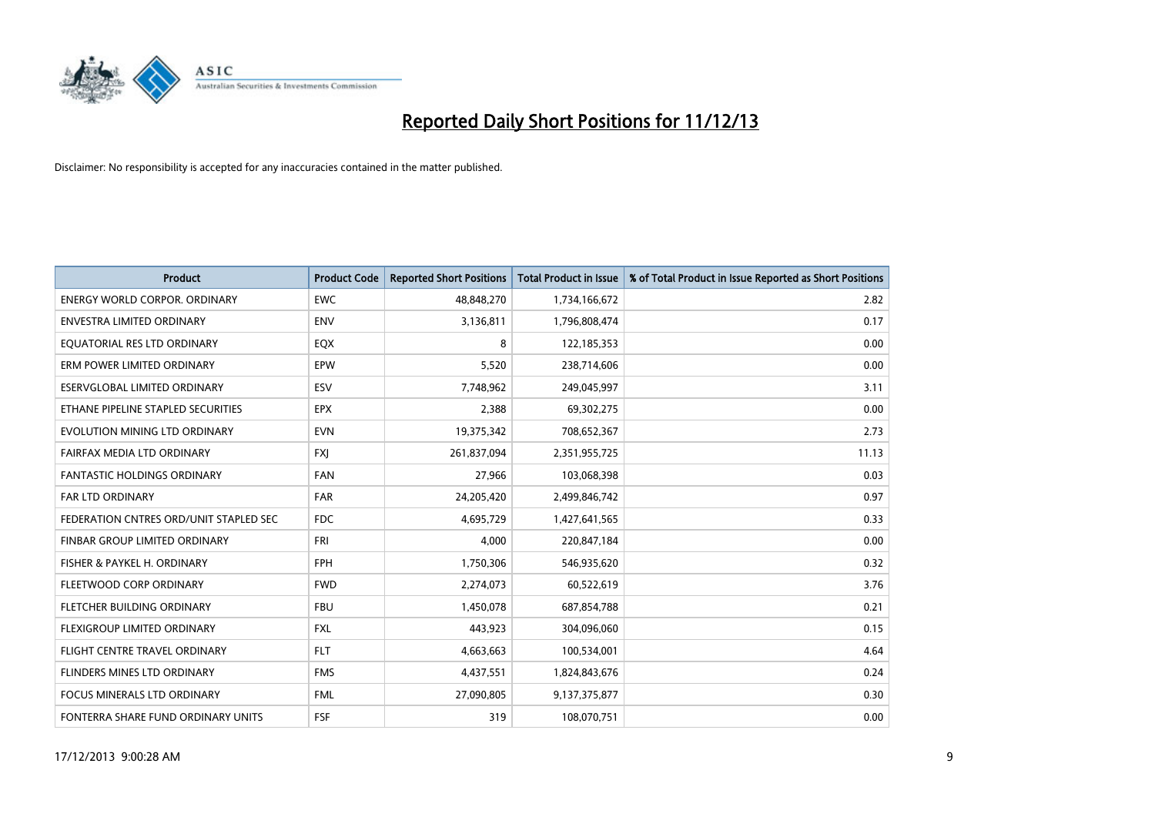

| <b>Product</b>                         | <b>Product Code</b> | <b>Reported Short Positions</b> | <b>Total Product in Issue</b> | % of Total Product in Issue Reported as Short Positions |
|----------------------------------------|---------------------|---------------------------------|-------------------------------|---------------------------------------------------------|
| <b>ENERGY WORLD CORPOR, ORDINARY</b>   | <b>EWC</b>          | 48,848,270                      | 1,734,166,672                 | 2.82                                                    |
| ENVESTRA LIMITED ORDINARY              | <b>ENV</b>          | 3,136,811                       | 1,796,808,474                 | 0.17                                                    |
| EQUATORIAL RES LTD ORDINARY            | EQX                 | 8                               | 122,185,353                   | 0.00                                                    |
| ERM POWER LIMITED ORDINARY             | EPW                 | 5,520                           | 238,714,606                   | 0.00                                                    |
| ESERVGLOBAL LIMITED ORDINARY           | ESV                 | 7,748,962                       | 249,045,997                   | 3.11                                                    |
| ETHANE PIPELINE STAPLED SECURITIES     | <b>EPX</b>          | 2,388                           | 69,302,275                    | 0.00                                                    |
| EVOLUTION MINING LTD ORDINARY          | <b>EVN</b>          | 19,375,342                      | 708,652,367                   | 2.73                                                    |
| FAIRFAX MEDIA LTD ORDINARY             | FXJ                 | 261,837,094                     | 2,351,955,725                 | 11.13                                                   |
| <b>FANTASTIC HOLDINGS ORDINARY</b>     | <b>FAN</b>          | 27,966                          | 103,068,398                   | 0.03                                                    |
| <b>FAR LTD ORDINARY</b>                | <b>FAR</b>          | 24,205,420                      | 2,499,846,742                 | 0.97                                                    |
| FEDERATION CNTRES ORD/UNIT STAPLED SEC | FDC                 | 4,695,729                       | 1,427,641,565                 | 0.33                                                    |
| FINBAR GROUP LIMITED ORDINARY          | <b>FRI</b>          | 4,000                           | 220,847,184                   | 0.00                                                    |
| FISHER & PAYKEL H. ORDINARY            | <b>FPH</b>          | 1,750,306                       | 546,935,620                   | 0.32                                                    |
| FLEETWOOD CORP ORDINARY                | <b>FWD</b>          | 2,274,073                       | 60,522,619                    | 3.76                                                    |
| FLETCHER BUILDING ORDINARY             | <b>FBU</b>          | 1,450,078                       | 687,854,788                   | 0.21                                                    |
| FLEXIGROUP LIMITED ORDINARY            | <b>FXL</b>          | 443,923                         | 304,096,060                   | 0.15                                                    |
| FLIGHT CENTRE TRAVEL ORDINARY          | <b>FLT</b>          | 4,663,663                       | 100,534,001                   | 4.64                                                    |
| FLINDERS MINES LTD ORDINARY            | <b>FMS</b>          | 4,437,551                       | 1,824,843,676                 | 0.24                                                    |
| <b>FOCUS MINERALS LTD ORDINARY</b>     | <b>FML</b>          | 27,090,805                      | 9,137,375,877                 | 0.30                                                    |
| FONTERRA SHARE FUND ORDINARY UNITS     | FSF                 | 319                             | 108,070,751                   | 0.00                                                    |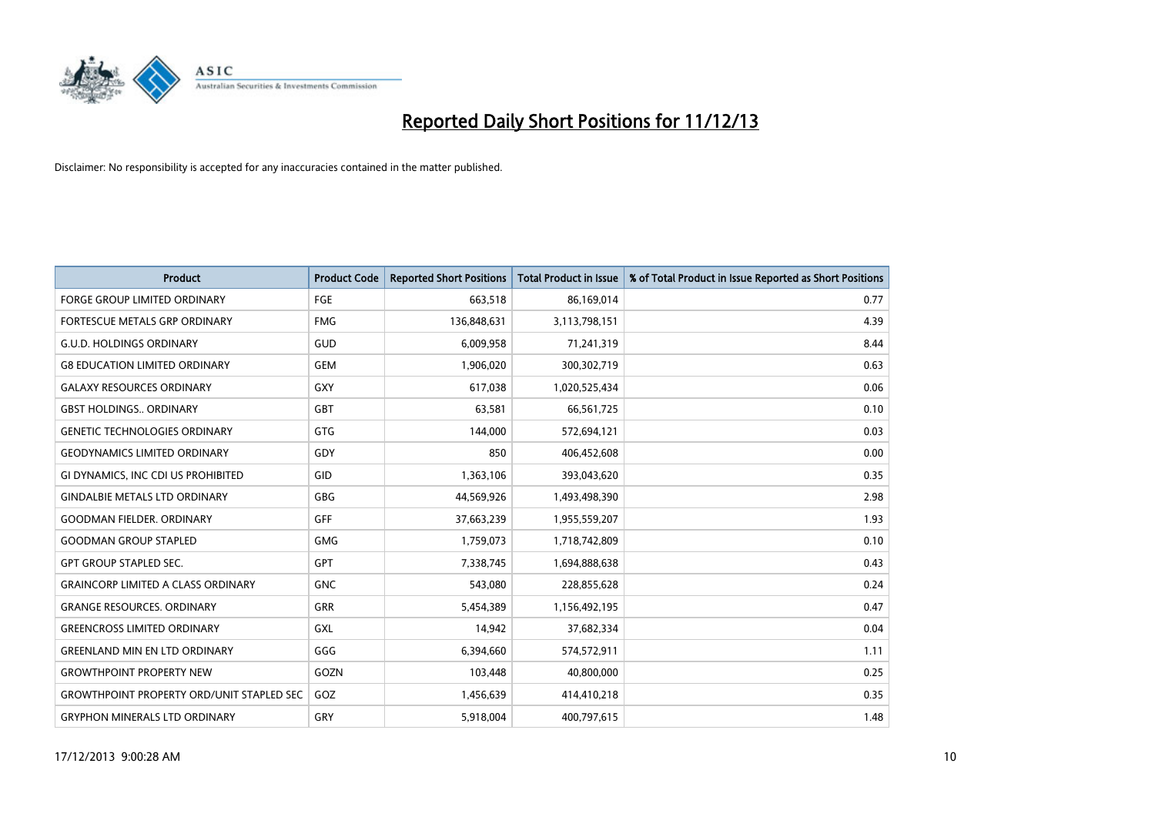

| <b>Product</b>                                   | <b>Product Code</b> | <b>Reported Short Positions</b> | <b>Total Product in Issue</b> | % of Total Product in Issue Reported as Short Positions |
|--------------------------------------------------|---------------------|---------------------------------|-------------------------------|---------------------------------------------------------|
| <b>FORGE GROUP LIMITED ORDINARY</b>              | <b>FGE</b>          | 663,518                         | 86,169,014                    | 0.77                                                    |
| FORTESCUE METALS GRP ORDINARY                    | <b>FMG</b>          | 136,848,631                     | 3,113,798,151                 | 4.39                                                    |
| <b>G.U.D. HOLDINGS ORDINARY</b>                  | GUD                 | 6,009,958                       | 71,241,319                    | 8.44                                                    |
| <b>G8 EDUCATION LIMITED ORDINARY</b>             | <b>GEM</b>          | 1,906,020                       | 300,302,719                   | 0.63                                                    |
| <b>GALAXY RESOURCES ORDINARY</b>                 | GXY                 | 617,038                         | 1,020,525,434                 | 0.06                                                    |
| <b>GBST HOLDINGS., ORDINARY</b>                  | <b>GBT</b>          | 63,581                          | 66,561,725                    | 0.10                                                    |
| <b>GENETIC TECHNOLOGIES ORDINARY</b>             | <b>GTG</b>          | 144.000                         | 572,694,121                   | 0.03                                                    |
| <b>GEODYNAMICS LIMITED ORDINARY</b>              | GDY                 | 850                             | 406,452,608                   | 0.00                                                    |
| GI DYNAMICS, INC CDI US PROHIBITED               | GID                 | 1,363,106                       | 393,043,620                   | 0.35                                                    |
| <b>GINDALBIE METALS LTD ORDINARY</b>             | GBG                 | 44,569,926                      | 1,493,498,390                 | 2.98                                                    |
| <b>GOODMAN FIELDER. ORDINARY</b>                 | GFF                 | 37,663,239                      | 1,955,559,207                 | 1.93                                                    |
| <b>GOODMAN GROUP STAPLED</b>                     | <b>GMG</b>          | 1,759,073                       | 1,718,742,809                 | 0.10                                                    |
| <b>GPT GROUP STAPLED SEC.</b>                    | GPT                 | 7,338,745                       | 1,694,888,638                 | 0.43                                                    |
| <b>GRAINCORP LIMITED A CLASS ORDINARY</b>        | <b>GNC</b>          | 543,080                         | 228,855,628                   | 0.24                                                    |
| <b>GRANGE RESOURCES. ORDINARY</b>                | GRR                 | 5,454,389                       | 1,156,492,195                 | 0.47                                                    |
| <b>GREENCROSS LIMITED ORDINARY</b>               | GXL                 | 14,942                          | 37,682,334                    | 0.04                                                    |
| <b>GREENLAND MIN EN LTD ORDINARY</b>             | GGG                 | 6,394,660                       | 574,572,911                   | 1.11                                                    |
| <b>GROWTHPOINT PROPERTY NEW</b>                  | GOZN                | 103,448                         | 40,800,000                    | 0.25                                                    |
| <b>GROWTHPOINT PROPERTY ORD/UNIT STAPLED SEC</b> | GOZ                 | 1,456,639                       | 414,410,218                   | 0.35                                                    |
| <b>GRYPHON MINERALS LTD ORDINARY</b>             | GRY                 | 5,918,004                       | 400,797,615                   | 1.48                                                    |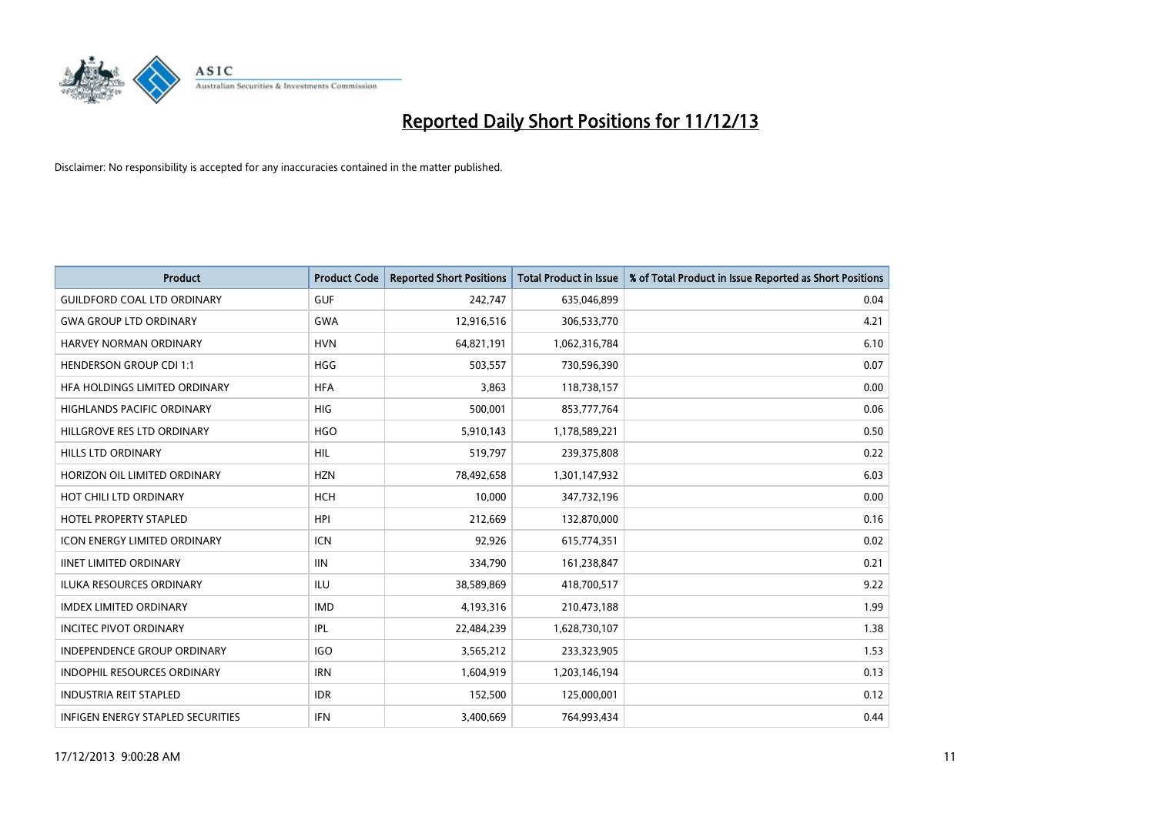

| <b>Product</b>                      | <b>Product Code</b> | <b>Reported Short Positions</b> | <b>Total Product in Issue</b> | % of Total Product in Issue Reported as Short Positions |
|-------------------------------------|---------------------|---------------------------------|-------------------------------|---------------------------------------------------------|
| <b>GUILDFORD COAL LTD ORDINARY</b>  | <b>GUF</b>          | 242,747                         | 635,046,899                   | 0.04                                                    |
| <b>GWA GROUP LTD ORDINARY</b>       | <b>GWA</b>          | 12,916,516                      | 306,533,770                   | 4.21                                                    |
| HARVEY NORMAN ORDINARY              | <b>HVN</b>          | 64,821,191                      | 1,062,316,784                 | 6.10                                                    |
| <b>HENDERSON GROUP CDI 1:1</b>      | <b>HGG</b>          | 503,557                         | 730,596,390                   | 0.07                                                    |
| HEA HOLDINGS LIMITED ORDINARY       | <b>HFA</b>          | 3,863                           | 118,738,157                   | 0.00                                                    |
| <b>HIGHLANDS PACIFIC ORDINARY</b>   | <b>HIG</b>          | 500,001                         | 853,777,764                   | 0.06                                                    |
| HILLGROVE RES LTD ORDINARY          | <b>HGO</b>          | 5,910,143                       | 1,178,589,221                 | 0.50                                                    |
| <b>HILLS LTD ORDINARY</b>           | <b>HIL</b>          | 519,797                         | 239,375,808                   | 0.22                                                    |
| HORIZON OIL LIMITED ORDINARY        | <b>HZN</b>          | 78,492,658                      | 1,301,147,932                 | 6.03                                                    |
| HOT CHILI LTD ORDINARY              | <b>HCH</b>          | 10,000                          | 347,732,196                   | 0.00                                                    |
| HOTEL PROPERTY STAPLED              | <b>HPI</b>          | 212,669                         | 132,870,000                   | 0.16                                                    |
| <b>ICON ENERGY LIMITED ORDINARY</b> | ICN                 | 92,926                          | 615,774,351                   | 0.02                                                    |
| <b>IINET LIMITED ORDINARY</b>       | <b>IIN</b>          | 334,790                         | 161,238,847                   | 0.21                                                    |
| <b>ILUKA RESOURCES ORDINARY</b>     | ILU                 | 38,589,869                      | 418,700,517                   | 9.22                                                    |
| <b>IMDEX LIMITED ORDINARY</b>       | <b>IMD</b>          | 4,193,316                       | 210,473,188                   | 1.99                                                    |
| <b>INCITEC PIVOT ORDINARY</b>       | IPL                 | 22,484,239                      | 1,628,730,107                 | 1.38                                                    |
| INDEPENDENCE GROUP ORDINARY         | <b>IGO</b>          | 3,565,212                       | 233,323,905                   | 1.53                                                    |
| INDOPHIL RESOURCES ORDINARY         | <b>IRN</b>          | 1,604,919                       | 1,203,146,194                 | 0.13                                                    |
| <b>INDUSTRIA REIT STAPLED</b>       | <b>IDR</b>          | 152,500                         | 125,000,001                   | 0.12                                                    |
| INFIGEN ENERGY STAPLED SECURITIES   | <b>IFN</b>          | 3,400,669                       | 764,993,434                   | 0.44                                                    |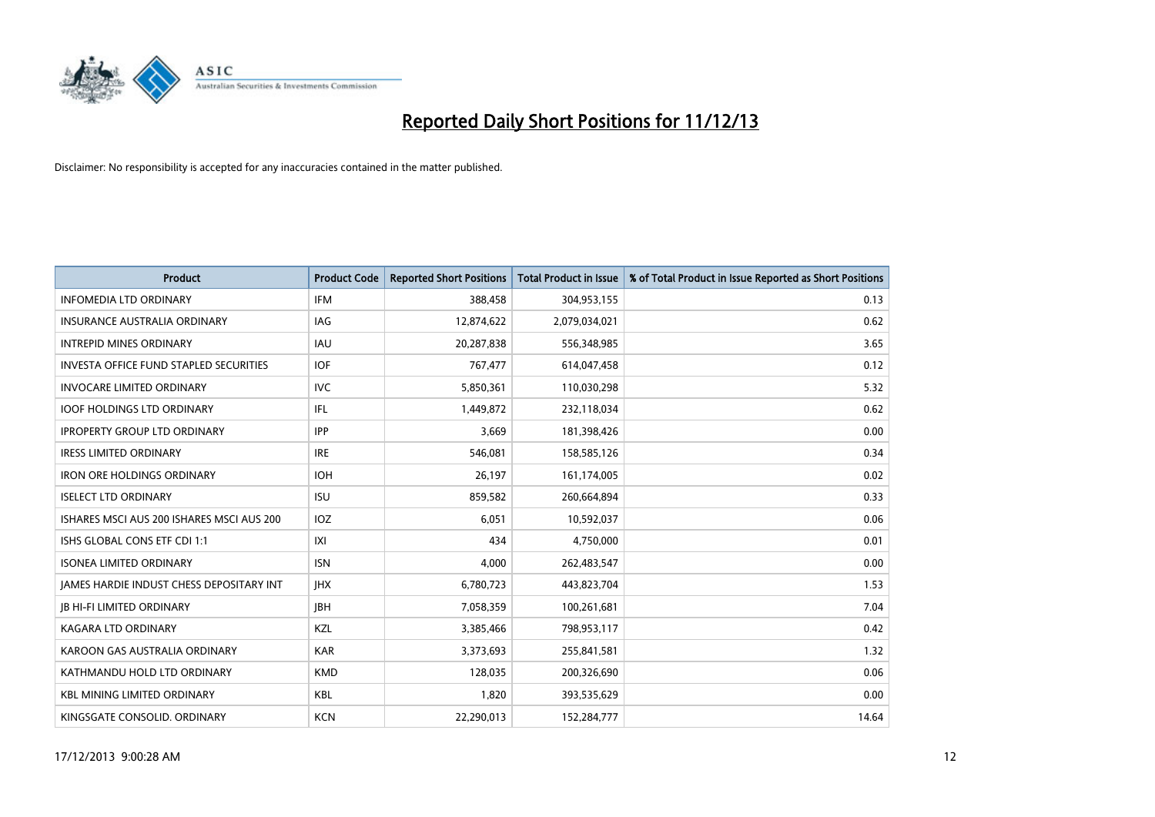

| Product                                         | <b>Product Code</b> | <b>Reported Short Positions</b> | <b>Total Product in Issue</b> | % of Total Product in Issue Reported as Short Positions |
|-------------------------------------------------|---------------------|---------------------------------|-------------------------------|---------------------------------------------------------|
| <b>INFOMEDIA LTD ORDINARY</b>                   | <b>IFM</b>          | 388,458                         | 304,953,155                   | 0.13                                                    |
| INSURANCE AUSTRALIA ORDINARY                    | IAG                 | 12,874,622                      | 2,079,034,021                 | 0.62                                                    |
| <b>INTREPID MINES ORDINARY</b>                  | <b>IAU</b>          | 20,287,838                      | 556,348,985                   | 3.65                                                    |
| <b>INVESTA OFFICE FUND STAPLED SECURITIES</b>   | <b>IOF</b>          | 767,477                         | 614,047,458                   | 0.12                                                    |
| <b>INVOCARE LIMITED ORDINARY</b>                | <b>IVC</b>          | 5,850,361                       | 110,030,298                   | 5.32                                                    |
| <b>IOOF HOLDINGS LTD ORDINARY</b>               | IFL                 | 1,449,872                       | 232,118,034                   | 0.62                                                    |
| <b>IPROPERTY GROUP LTD ORDINARY</b>             | <b>IPP</b>          | 3,669                           | 181,398,426                   | 0.00                                                    |
| <b>IRESS LIMITED ORDINARY</b>                   | <b>IRE</b>          | 546,081                         | 158,585,126                   | 0.34                                                    |
| <b>IRON ORE HOLDINGS ORDINARY</b>               | <b>IOH</b>          | 26,197                          | 161,174,005                   | 0.02                                                    |
| <b>ISELECT LTD ORDINARY</b>                     | <b>ISU</b>          | 859,582                         | 260,664,894                   | 0.33                                                    |
| ISHARES MSCI AUS 200 ISHARES MSCI AUS 200       | <b>IOZ</b>          | 6,051                           | 10,592,037                    | 0.06                                                    |
| ISHS GLOBAL CONS ETF CDI 1:1                    | IXI                 | 434                             | 4,750,000                     | 0.01                                                    |
| <b>ISONEA LIMITED ORDINARY</b>                  | <b>ISN</b>          | 4,000                           | 262,483,547                   | 0.00                                                    |
| <b>IAMES HARDIE INDUST CHESS DEPOSITARY INT</b> | <b>IHX</b>          | 6,780,723                       | 443,823,704                   | 1.53                                                    |
| <b>JB HI-FI LIMITED ORDINARY</b>                | <b>IBH</b>          | 7,058,359                       | 100,261,681                   | 7.04                                                    |
| <b>KAGARA LTD ORDINARY</b>                      | KZL                 | 3,385,466                       | 798,953,117                   | 0.42                                                    |
| KAROON GAS AUSTRALIA ORDINARY                   | <b>KAR</b>          | 3,373,693                       | 255,841,581                   | 1.32                                                    |
| KATHMANDU HOLD LTD ORDINARY                     | <b>KMD</b>          | 128,035                         | 200,326,690                   | 0.06                                                    |
| <b>KBL MINING LIMITED ORDINARY</b>              | <b>KBL</b>          | 1,820                           | 393,535,629                   | 0.00                                                    |
| KINGSGATE CONSOLID. ORDINARY                    | <b>KCN</b>          | 22,290,013                      | 152,284,777                   | 14.64                                                   |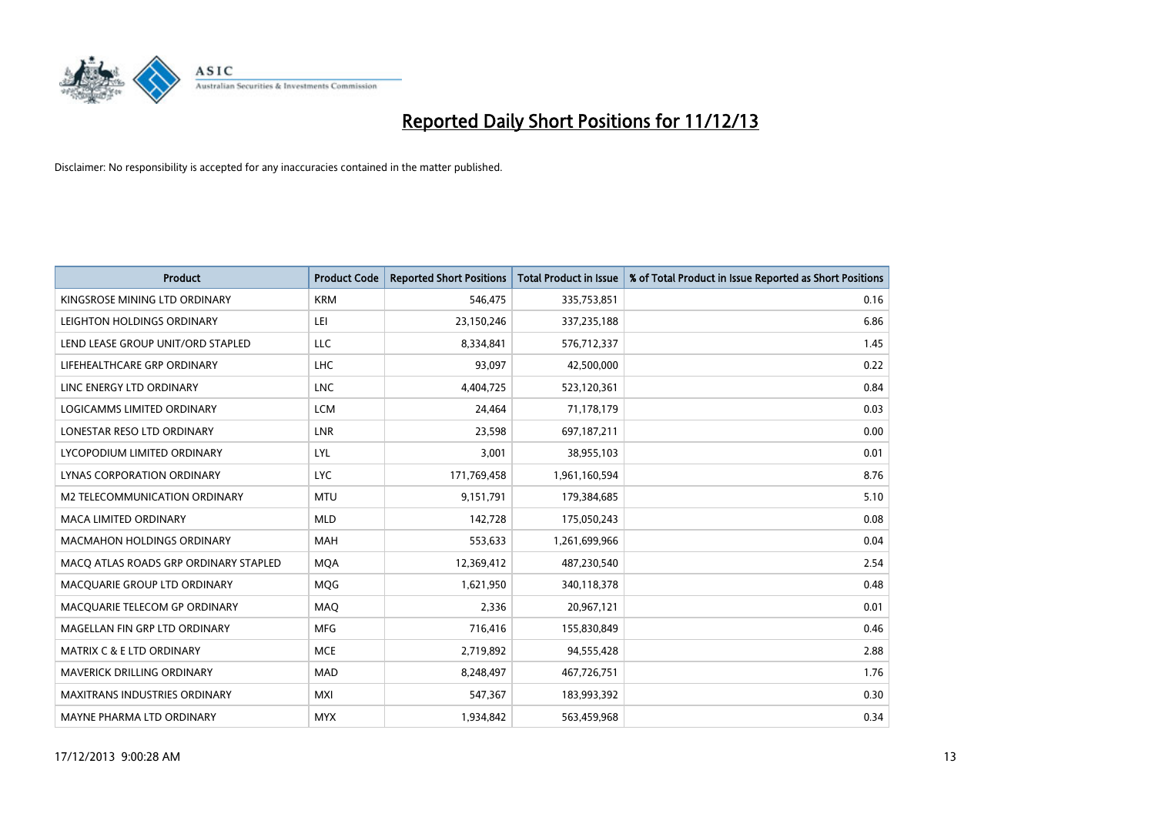

| <b>Product</b>                        | <b>Product Code</b> | <b>Reported Short Positions</b> | <b>Total Product in Issue</b> | % of Total Product in Issue Reported as Short Positions |
|---------------------------------------|---------------------|---------------------------------|-------------------------------|---------------------------------------------------------|
| KINGSROSE MINING LTD ORDINARY         | <b>KRM</b>          | 546.475                         | 335,753,851                   | 0.16                                                    |
| LEIGHTON HOLDINGS ORDINARY            | LEI                 | 23,150,246                      | 337,235,188                   | 6.86                                                    |
| LEND LEASE GROUP UNIT/ORD STAPLED     | <b>LLC</b>          | 8,334,841                       | 576,712,337                   | 1.45                                                    |
| LIFEHEALTHCARE GRP ORDINARY           | LHC                 | 93,097                          | 42,500,000                    | 0.22                                                    |
| LINC ENERGY LTD ORDINARY              | <b>LNC</b>          | 4,404,725                       | 523,120,361                   | 0.84                                                    |
| LOGICAMMS LIMITED ORDINARY            | <b>LCM</b>          | 24,464                          | 71,178,179                    | 0.03                                                    |
| LONESTAR RESO LTD ORDINARY            | <b>LNR</b>          | 23,598                          | 697,187,211                   | 0.00                                                    |
| LYCOPODIUM LIMITED ORDINARY           | <b>LYL</b>          | 3,001                           | 38,955,103                    | 0.01                                                    |
| LYNAS CORPORATION ORDINARY            | <b>LYC</b>          | 171,769,458                     | 1,961,160,594                 | 8.76                                                    |
| <b>M2 TELECOMMUNICATION ORDINARY</b>  | <b>MTU</b>          | 9,151,791                       | 179,384,685                   | 5.10                                                    |
| <b>MACA LIMITED ORDINARY</b>          | <b>MLD</b>          | 142,728                         | 175,050,243                   | 0.08                                                    |
| MACMAHON HOLDINGS ORDINARY            | MAH                 | 553,633                         | 1,261,699,966                 | 0.04                                                    |
| MACO ATLAS ROADS GRP ORDINARY STAPLED | <b>MOA</b>          | 12,369,412                      | 487,230,540                   | 2.54                                                    |
| MACQUARIE GROUP LTD ORDINARY          | MQG                 | 1,621,950                       | 340,118,378                   | 0.48                                                    |
| MACQUARIE TELECOM GP ORDINARY         | <b>MAQ</b>          | 2,336                           | 20,967,121                    | 0.01                                                    |
| MAGELLAN FIN GRP LTD ORDINARY         | <b>MFG</b>          | 716,416                         | 155,830,849                   | 0.46                                                    |
| <b>MATRIX C &amp; E LTD ORDINARY</b>  | <b>MCE</b>          | 2,719,892                       | 94,555,428                    | 2.88                                                    |
| MAVERICK DRILLING ORDINARY            | <b>MAD</b>          | 8,248,497                       | 467,726,751                   | 1.76                                                    |
| <b>MAXITRANS INDUSTRIES ORDINARY</b>  | <b>MXI</b>          | 547,367                         | 183,993,392                   | 0.30                                                    |
| MAYNE PHARMA LTD ORDINARY             | <b>MYX</b>          | 1,934,842                       | 563,459,968                   | 0.34                                                    |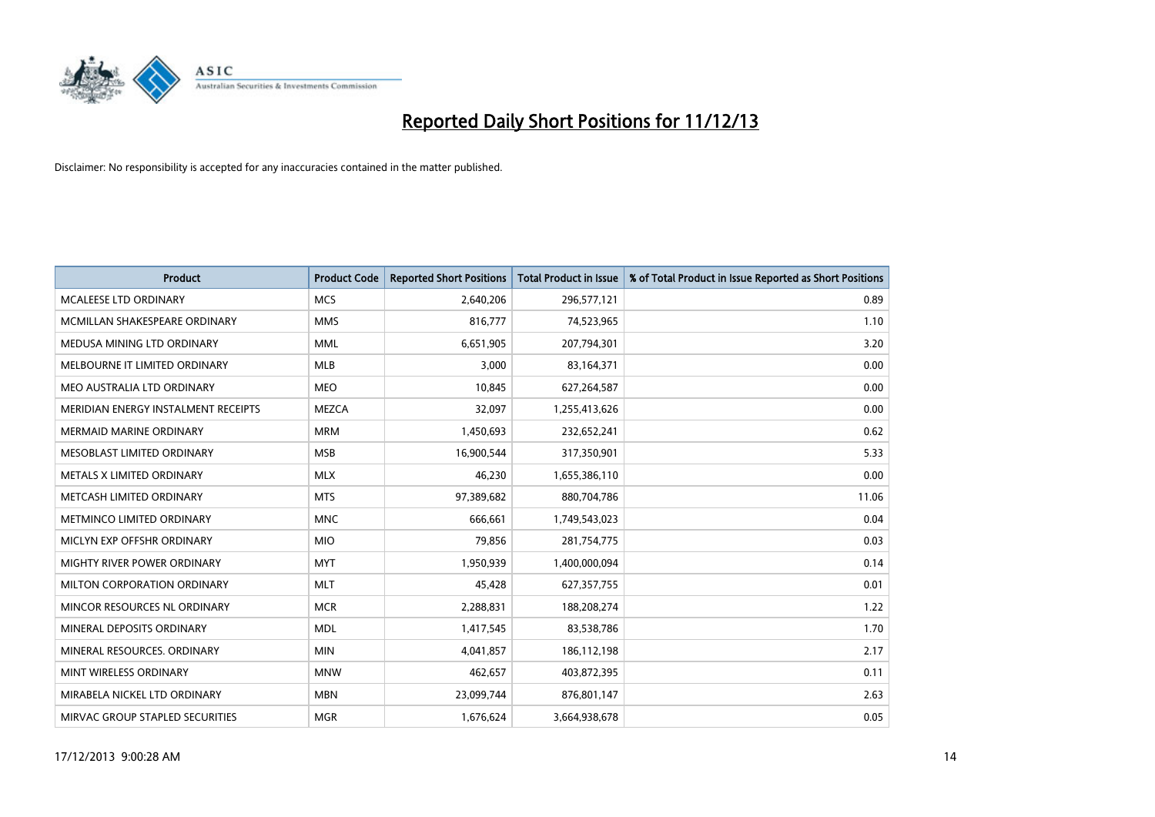

| <b>Product</b>                      | <b>Product Code</b> | <b>Reported Short Positions</b> | <b>Total Product in Issue</b> | % of Total Product in Issue Reported as Short Positions |
|-------------------------------------|---------------------|---------------------------------|-------------------------------|---------------------------------------------------------|
| <b>MCALEESE LTD ORDINARY</b>        | <b>MCS</b>          | 2,640,206                       | 296,577,121                   | 0.89                                                    |
| MCMILLAN SHAKESPEARE ORDINARY       | <b>MMS</b>          | 816,777                         | 74,523,965                    | 1.10                                                    |
| MEDUSA MINING LTD ORDINARY          | <b>MML</b>          | 6,651,905                       | 207,794,301                   | 3.20                                                    |
| MELBOURNE IT LIMITED ORDINARY       | <b>MLB</b>          | 3,000                           | 83,164,371                    | 0.00                                                    |
| MEO AUSTRALIA LTD ORDINARY          | <b>MEO</b>          | 10,845                          | 627,264,587                   | 0.00                                                    |
| MERIDIAN ENERGY INSTALMENT RECEIPTS | <b>MEZCA</b>        | 32,097                          | 1,255,413,626                 | 0.00                                                    |
| <b>MERMAID MARINE ORDINARY</b>      | <b>MRM</b>          | 1,450,693                       | 232,652,241                   | 0.62                                                    |
| MESOBLAST LIMITED ORDINARY          | <b>MSB</b>          | 16,900,544                      | 317,350,901                   | 5.33                                                    |
| METALS X LIMITED ORDINARY           | <b>MLX</b>          | 46,230                          | 1,655,386,110                 | 0.00                                                    |
| METCASH LIMITED ORDINARY            | <b>MTS</b>          | 97,389,682                      | 880,704,786                   | 11.06                                                   |
| METMINCO LIMITED ORDINARY           | <b>MNC</b>          | 666,661                         | 1,749,543,023                 | 0.04                                                    |
| MICLYN EXP OFFSHR ORDINARY          | <b>MIO</b>          | 79,856                          | 281,754,775                   | 0.03                                                    |
| MIGHTY RIVER POWER ORDINARY         | <b>MYT</b>          | 1,950,939                       | 1,400,000,094                 | 0.14                                                    |
| MILTON CORPORATION ORDINARY         | <b>MLT</b>          | 45,428                          | 627,357,755                   | 0.01                                                    |
| MINCOR RESOURCES NL ORDINARY        | <b>MCR</b>          | 2,288,831                       | 188,208,274                   | 1.22                                                    |
| MINERAL DEPOSITS ORDINARY           | <b>MDL</b>          | 1,417,545                       | 83,538,786                    | 1.70                                                    |
| MINERAL RESOURCES. ORDINARY         | <b>MIN</b>          | 4,041,857                       | 186,112,198                   | 2.17                                                    |
| MINT WIRELESS ORDINARY              | <b>MNW</b>          | 462,657                         | 403,872,395                   | 0.11                                                    |
| MIRABELA NICKEL LTD ORDINARY        | <b>MBN</b>          | 23,099,744                      | 876,801,147                   | 2.63                                                    |
| MIRVAC GROUP STAPLED SECURITIES     | <b>MGR</b>          | 1,676,624                       | 3,664,938,678                 | 0.05                                                    |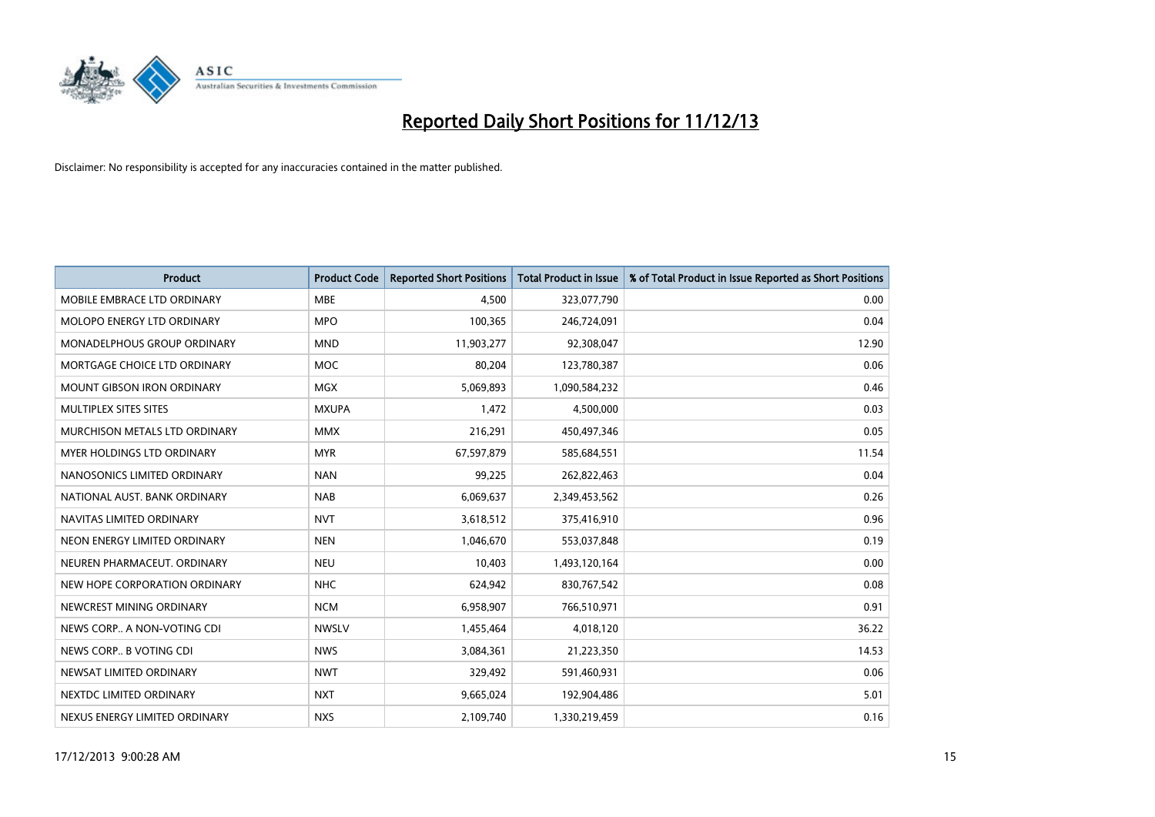

| <b>Product</b>                     | <b>Product Code</b> | <b>Reported Short Positions</b> | <b>Total Product in Issue</b> | % of Total Product in Issue Reported as Short Positions |
|------------------------------------|---------------------|---------------------------------|-------------------------------|---------------------------------------------------------|
| MOBILE EMBRACE LTD ORDINARY        | <b>MBE</b>          | 4.500                           | 323,077,790                   | 0.00                                                    |
| <b>MOLOPO ENERGY LTD ORDINARY</b>  | <b>MPO</b>          | 100,365                         | 246,724,091                   | 0.04                                                    |
| <b>MONADELPHOUS GROUP ORDINARY</b> | <b>MND</b>          | 11,903,277                      | 92,308,047                    | 12.90                                                   |
| MORTGAGE CHOICE LTD ORDINARY       | MOC                 | 80,204                          | 123,780,387                   | 0.06                                                    |
| <b>MOUNT GIBSON IRON ORDINARY</b>  | <b>MGX</b>          | 5,069,893                       | 1,090,584,232                 | 0.46                                                    |
| MULTIPLEX SITES SITES              | <b>MXUPA</b>        | 1,472                           | 4,500,000                     | 0.03                                                    |
| MURCHISON METALS LTD ORDINARY      | <b>MMX</b>          | 216,291                         | 450,497,346                   | 0.05                                                    |
| <b>MYER HOLDINGS LTD ORDINARY</b>  | <b>MYR</b>          | 67,597,879                      | 585,684,551                   | 11.54                                                   |
| NANOSONICS LIMITED ORDINARY        | <b>NAN</b>          | 99,225                          | 262,822,463                   | 0.04                                                    |
| NATIONAL AUST, BANK ORDINARY       | <b>NAB</b>          | 6,069,637                       | 2,349,453,562                 | 0.26                                                    |
| NAVITAS LIMITED ORDINARY           | <b>NVT</b>          | 3,618,512                       | 375,416,910                   | 0.96                                                    |
| NEON ENERGY LIMITED ORDINARY       | <b>NEN</b>          | 1,046,670                       | 553,037,848                   | 0.19                                                    |
| NEUREN PHARMACEUT, ORDINARY        | <b>NEU</b>          | 10,403                          | 1,493,120,164                 | 0.00                                                    |
| NEW HOPE CORPORATION ORDINARY      | NHC                 | 624,942                         | 830,767,542                   | 0.08                                                    |
| NEWCREST MINING ORDINARY           | <b>NCM</b>          | 6,958,907                       | 766,510,971                   | 0.91                                                    |
| NEWS CORP A NON-VOTING CDI         | <b>NWSLV</b>        | 1,455,464                       | 4,018,120                     | 36.22                                                   |
| NEWS CORP B VOTING CDI             | <b>NWS</b>          | 3,084,361                       | 21,223,350                    | 14.53                                                   |
| NEWSAT LIMITED ORDINARY            | <b>NWT</b>          | 329,492                         | 591,460,931                   | 0.06                                                    |
| NEXTDC LIMITED ORDINARY            | <b>NXT</b>          | 9,665,024                       | 192,904,486                   | 5.01                                                    |
| NEXUS ENERGY LIMITED ORDINARY      | <b>NXS</b>          | 2,109,740                       | 1,330,219,459                 | 0.16                                                    |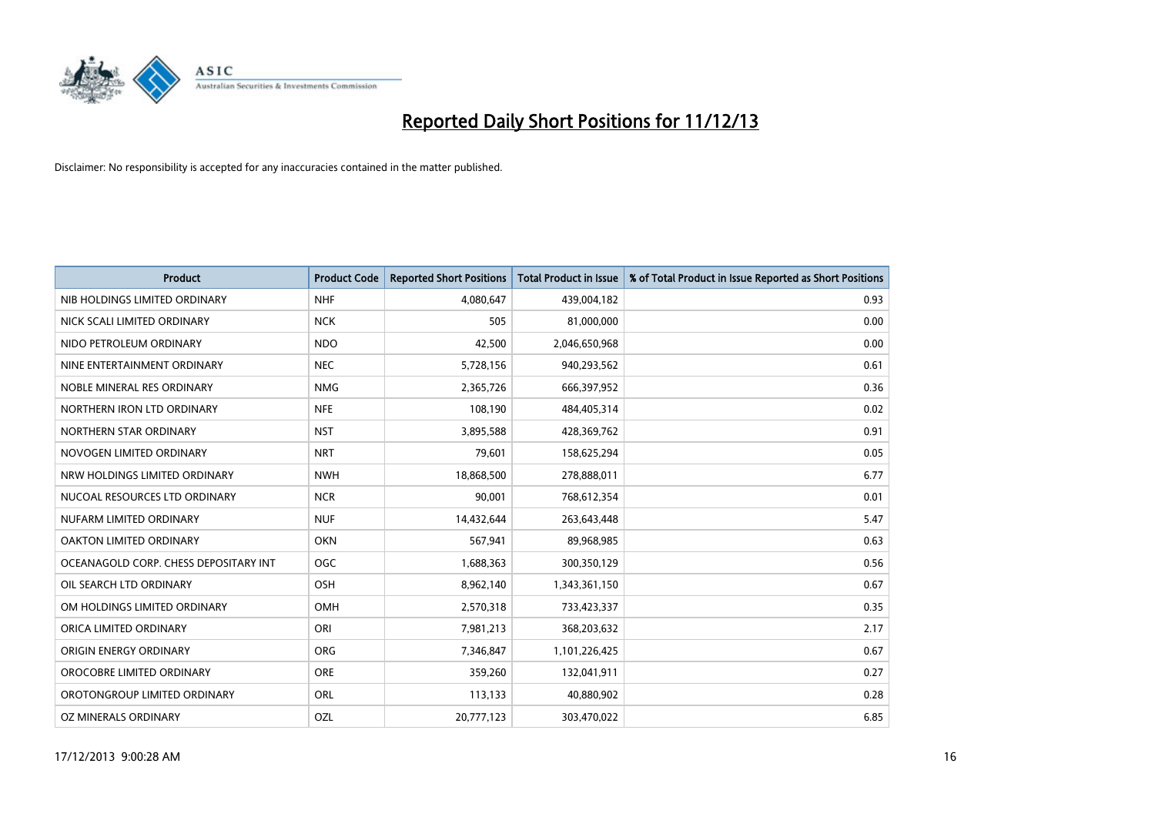

| <b>Product</b>                        | <b>Product Code</b> | <b>Reported Short Positions</b> | <b>Total Product in Issue</b> | % of Total Product in Issue Reported as Short Positions |
|---------------------------------------|---------------------|---------------------------------|-------------------------------|---------------------------------------------------------|
| NIB HOLDINGS LIMITED ORDINARY         | <b>NHF</b>          | 4,080,647                       | 439,004,182                   | 0.93                                                    |
| NICK SCALI LIMITED ORDINARY           | <b>NCK</b>          | 505                             | 81,000,000                    | 0.00                                                    |
| NIDO PETROLEUM ORDINARY               | <b>NDO</b>          | 42,500                          | 2,046,650,968                 | 0.00                                                    |
| NINE ENTERTAINMENT ORDINARY           | <b>NEC</b>          | 5,728,156                       | 940,293,562                   | 0.61                                                    |
| NOBLE MINERAL RES ORDINARY            | <b>NMG</b>          | 2,365,726                       | 666,397,952                   | 0.36                                                    |
| NORTHERN IRON LTD ORDINARY            | <b>NFE</b>          | 108,190                         | 484,405,314                   | 0.02                                                    |
| NORTHERN STAR ORDINARY                | <b>NST</b>          | 3,895,588                       | 428,369,762                   | 0.91                                                    |
| NOVOGEN LIMITED ORDINARY              | <b>NRT</b>          | 79,601                          | 158,625,294                   | 0.05                                                    |
| NRW HOLDINGS LIMITED ORDINARY         | <b>NWH</b>          | 18,868,500                      | 278,888,011                   | 6.77                                                    |
| NUCOAL RESOURCES LTD ORDINARY         | <b>NCR</b>          | 90,001                          | 768,612,354                   | 0.01                                                    |
| NUFARM LIMITED ORDINARY               | <b>NUF</b>          | 14,432,644                      | 263,643,448                   | 5.47                                                    |
| OAKTON LIMITED ORDINARY               | <b>OKN</b>          | 567,941                         | 89,968,985                    | 0.63                                                    |
| OCEANAGOLD CORP. CHESS DEPOSITARY INT | <b>OGC</b>          | 1,688,363                       | 300,350,129                   | 0.56                                                    |
| OIL SEARCH LTD ORDINARY               | OSH                 | 8,962,140                       | 1,343,361,150                 | 0.67                                                    |
| OM HOLDINGS LIMITED ORDINARY          | <b>OMH</b>          | 2,570,318                       | 733,423,337                   | 0.35                                                    |
| ORICA LIMITED ORDINARY                | ORI                 | 7,981,213                       | 368,203,632                   | 2.17                                                    |
| ORIGIN ENERGY ORDINARY                | <b>ORG</b>          | 7,346,847                       | 1,101,226,425                 | 0.67                                                    |
| OROCOBRE LIMITED ORDINARY             | <b>ORE</b>          | 359,260                         | 132,041,911                   | 0.27                                                    |
| OROTONGROUP LIMITED ORDINARY          | ORL                 | 113,133                         | 40,880,902                    | 0.28                                                    |
| OZ MINERALS ORDINARY                  | OZL                 | 20,777,123                      | 303,470,022                   | 6.85                                                    |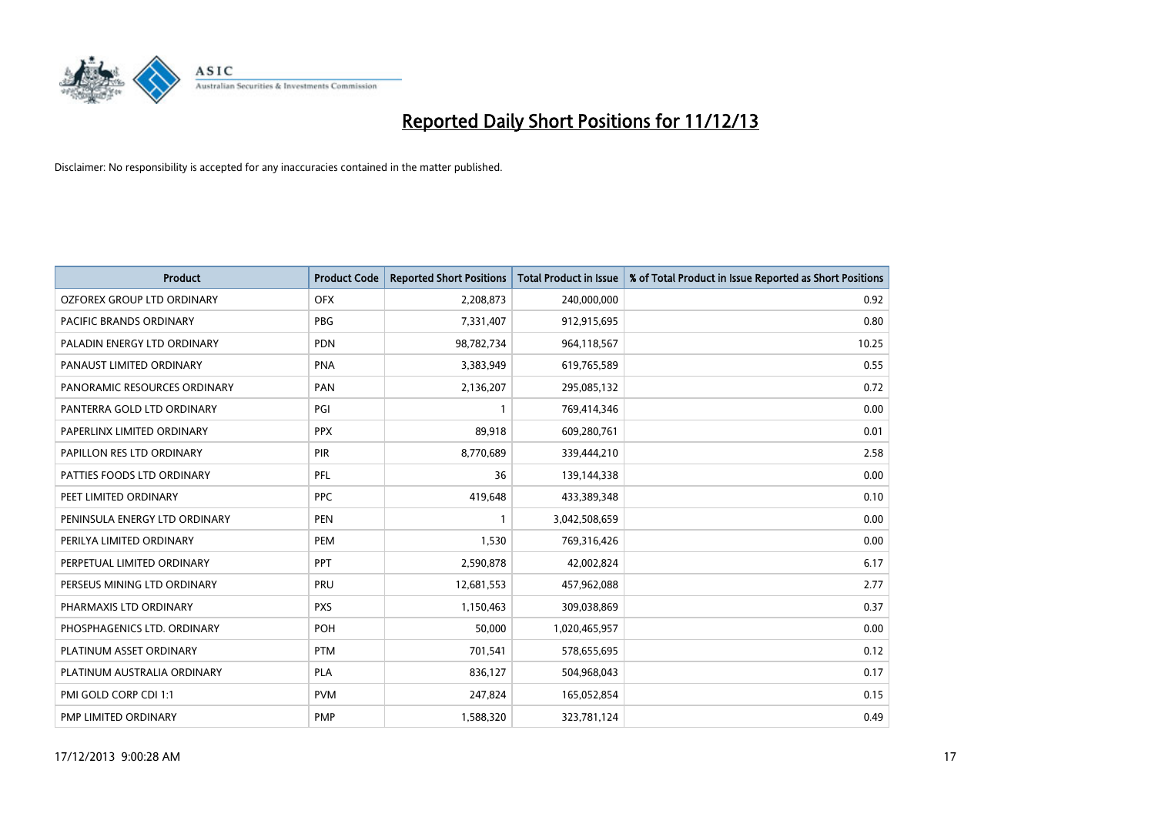

| <b>Product</b>                | <b>Product Code</b> | <b>Reported Short Positions</b> | <b>Total Product in Issue</b> | % of Total Product in Issue Reported as Short Positions |
|-------------------------------|---------------------|---------------------------------|-------------------------------|---------------------------------------------------------|
| OZFOREX GROUP LTD ORDINARY    | <b>OFX</b>          | 2,208,873                       | 240,000,000                   | 0.92                                                    |
| PACIFIC BRANDS ORDINARY       | <b>PBG</b>          | 7,331,407                       | 912,915,695                   | 0.80                                                    |
| PALADIN ENERGY LTD ORDINARY   | <b>PDN</b>          | 98,782,734                      | 964,118,567                   | 10.25                                                   |
| PANAUST LIMITED ORDINARY      | <b>PNA</b>          | 3,383,949                       | 619,765,589                   | 0.55                                                    |
| PANORAMIC RESOURCES ORDINARY  | PAN                 | 2,136,207                       | 295,085,132                   | 0.72                                                    |
| PANTERRA GOLD LTD ORDINARY    | PGI                 | $\mathbf{1}$                    | 769,414,346                   | 0.00                                                    |
| PAPERLINX LIMITED ORDINARY    | <b>PPX</b>          | 89,918                          | 609,280,761                   | 0.01                                                    |
| PAPILLON RES LTD ORDINARY     | PIR                 | 8,770,689                       | 339,444,210                   | 2.58                                                    |
| PATTIES FOODS LTD ORDINARY    | PFL                 | 36                              | 139,144,338                   | 0.00                                                    |
| PEET LIMITED ORDINARY         | <b>PPC</b>          | 419,648                         | 433,389,348                   | 0.10                                                    |
| PENINSULA ENERGY LTD ORDINARY | <b>PEN</b>          |                                 | 3,042,508,659                 | 0.00                                                    |
| PERILYA LIMITED ORDINARY      | PEM                 | 1,530                           | 769,316,426                   | 0.00                                                    |
| PERPETUAL LIMITED ORDINARY    | PPT                 | 2,590,878                       | 42,002,824                    | 6.17                                                    |
| PERSEUS MINING LTD ORDINARY   | PRU                 | 12,681,553                      | 457,962,088                   | 2.77                                                    |
| PHARMAXIS LTD ORDINARY        | <b>PXS</b>          | 1,150,463                       | 309,038,869                   | 0.37                                                    |
| PHOSPHAGENICS LTD. ORDINARY   | POH                 | 50,000                          | 1,020,465,957                 | 0.00                                                    |
| PLATINUM ASSET ORDINARY       | <b>PTM</b>          | 701,541                         | 578,655,695                   | 0.12                                                    |
| PLATINUM AUSTRALIA ORDINARY   | <b>PLA</b>          | 836,127                         | 504,968,043                   | 0.17                                                    |
| PMI GOLD CORP CDI 1:1         | <b>PVM</b>          | 247,824                         | 165,052,854                   | 0.15                                                    |
| PMP LIMITED ORDINARY          | <b>PMP</b>          | 1,588,320                       | 323,781,124                   | 0.49                                                    |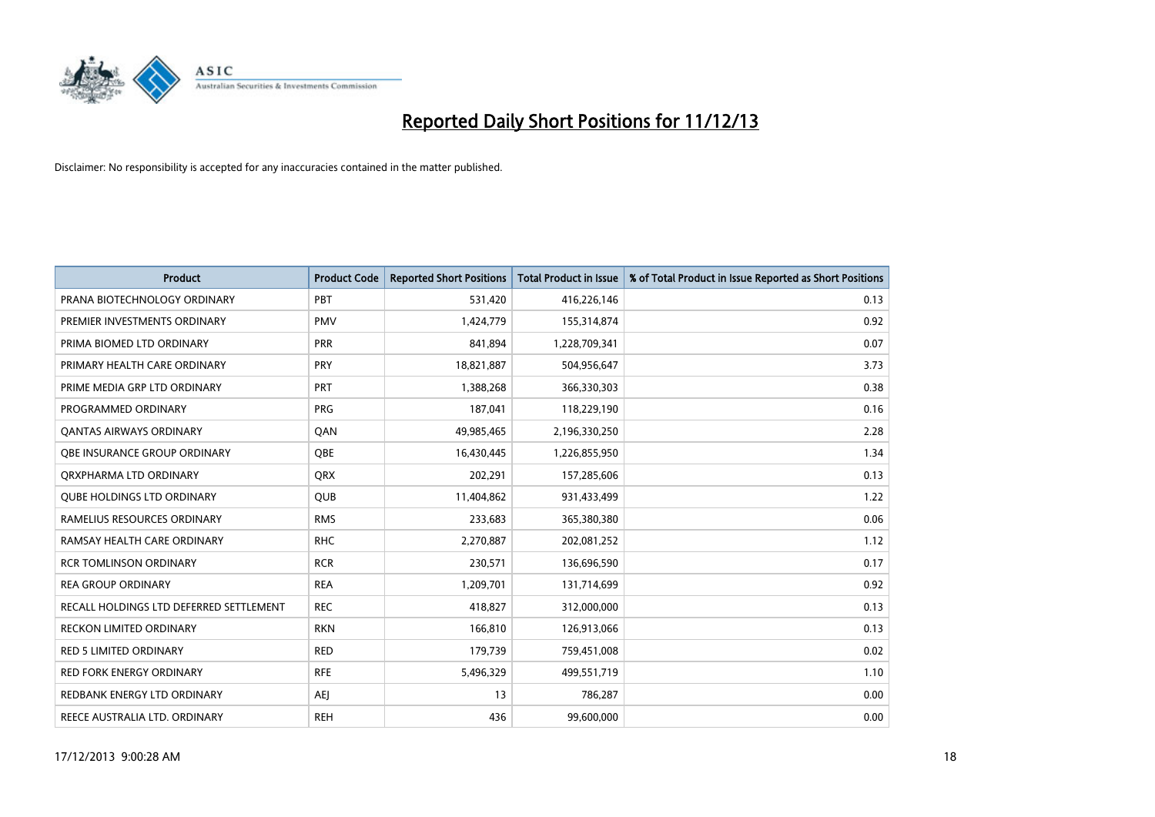

| <b>Product</b>                          | <b>Product Code</b> | <b>Reported Short Positions</b> | <b>Total Product in Issue</b> | % of Total Product in Issue Reported as Short Positions |
|-----------------------------------------|---------------------|---------------------------------|-------------------------------|---------------------------------------------------------|
| PRANA BIOTECHNOLOGY ORDINARY            | PBT                 | 531,420                         | 416,226,146                   | 0.13                                                    |
| PREMIER INVESTMENTS ORDINARY            | <b>PMV</b>          | 1,424,779                       | 155,314,874                   | 0.92                                                    |
| PRIMA BIOMED LTD ORDINARY               | <b>PRR</b>          | 841,894                         | 1,228,709,341                 | 0.07                                                    |
| PRIMARY HEALTH CARE ORDINARY            | <b>PRY</b>          | 18,821,887                      | 504,956,647                   | 3.73                                                    |
| PRIME MEDIA GRP LTD ORDINARY            | <b>PRT</b>          | 1,388,268                       | 366,330,303                   | 0.38                                                    |
| PROGRAMMED ORDINARY                     | <b>PRG</b>          | 187,041                         | 118,229,190                   | 0.16                                                    |
| <b>QANTAS AIRWAYS ORDINARY</b>          | QAN                 | 49,985,465                      | 2,196,330,250                 | 2.28                                                    |
| OBE INSURANCE GROUP ORDINARY            | <b>OBE</b>          | 16,430,445                      | 1,226,855,950                 | 1.34                                                    |
| ORXPHARMA LTD ORDINARY                  | <b>QRX</b>          | 202,291                         | 157,285,606                   | 0.13                                                    |
| <b>OUBE HOLDINGS LTD ORDINARY</b>       | <b>QUB</b>          | 11,404,862                      | 931,433,499                   | 1.22                                                    |
| RAMELIUS RESOURCES ORDINARY             | <b>RMS</b>          | 233,683                         | 365,380,380                   | 0.06                                                    |
| RAMSAY HEALTH CARE ORDINARY             | <b>RHC</b>          | 2,270,887                       | 202,081,252                   | 1.12                                                    |
| <b>RCR TOMLINSON ORDINARY</b>           | <b>RCR</b>          | 230,571                         | 136,696,590                   | 0.17                                                    |
| <b>REA GROUP ORDINARY</b>               | <b>REA</b>          | 1,209,701                       | 131,714,699                   | 0.92                                                    |
| RECALL HOLDINGS LTD DEFERRED SETTLEMENT | <b>REC</b>          | 418,827                         | 312,000,000                   | 0.13                                                    |
| <b>RECKON LIMITED ORDINARY</b>          | <b>RKN</b>          | 166,810                         | 126,913,066                   | 0.13                                                    |
| <b>RED 5 LIMITED ORDINARY</b>           | RED                 | 179,739                         | 759,451,008                   | 0.02                                                    |
| <b>RED FORK ENERGY ORDINARY</b>         | <b>RFE</b>          | 5,496,329                       | 499,551,719                   | 1.10                                                    |
| REDBANK ENERGY LTD ORDINARY             | <b>AEI</b>          | 13                              | 786,287                       | 0.00                                                    |
| REECE AUSTRALIA LTD. ORDINARY           | <b>REH</b>          | 436                             | 99,600,000                    | 0.00                                                    |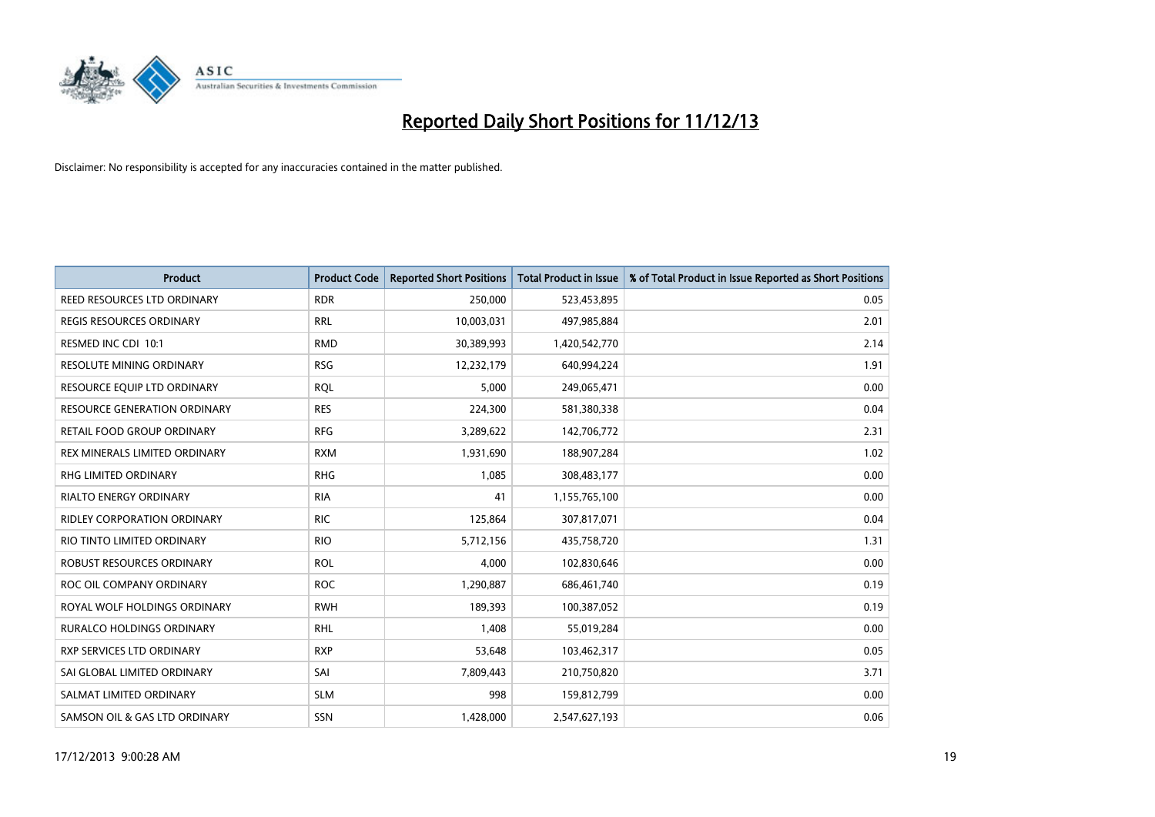

| <b>Product</b>                      | <b>Product Code</b> | <b>Reported Short Positions</b> | <b>Total Product in Issue</b> | % of Total Product in Issue Reported as Short Positions |
|-------------------------------------|---------------------|---------------------------------|-------------------------------|---------------------------------------------------------|
| REED RESOURCES LTD ORDINARY         | <b>RDR</b>          | 250,000                         | 523,453,895                   | 0.05                                                    |
| <b>REGIS RESOURCES ORDINARY</b>     | <b>RRL</b>          | 10,003,031                      | 497,985,884                   | 2.01                                                    |
| RESMED INC CDI 10:1                 | <b>RMD</b>          | 30,389,993                      | 1,420,542,770                 | 2.14                                                    |
| RESOLUTE MINING ORDINARY            | <b>RSG</b>          | 12,232,179                      | 640,994,224                   | 1.91                                                    |
| RESOURCE EQUIP LTD ORDINARY         | <b>ROL</b>          | 5,000                           | 249,065,471                   | 0.00                                                    |
| <b>RESOURCE GENERATION ORDINARY</b> | <b>RES</b>          | 224,300                         | 581,380,338                   | 0.04                                                    |
| RETAIL FOOD GROUP ORDINARY          | <b>RFG</b>          | 3,289,622                       | 142,706,772                   | 2.31                                                    |
| REX MINERALS LIMITED ORDINARY       | <b>RXM</b>          | 1,931,690                       | 188,907,284                   | 1.02                                                    |
| RHG LIMITED ORDINARY                | <b>RHG</b>          | 1,085                           | 308,483,177                   | 0.00                                                    |
| <b>RIALTO ENERGY ORDINARY</b>       | <b>RIA</b>          | 41                              | 1,155,765,100                 | 0.00                                                    |
| RIDLEY CORPORATION ORDINARY         | <b>RIC</b>          | 125,864                         | 307,817,071                   | 0.04                                                    |
| RIO TINTO LIMITED ORDINARY          | <b>RIO</b>          | 5,712,156                       | 435,758,720                   | 1.31                                                    |
| ROBUST RESOURCES ORDINARY           | <b>ROL</b>          | 4,000                           | 102,830,646                   | 0.00                                                    |
| ROC OIL COMPANY ORDINARY            | <b>ROC</b>          | 1,290,887                       | 686,461,740                   | 0.19                                                    |
| ROYAL WOLF HOLDINGS ORDINARY        | <b>RWH</b>          | 189,393                         | 100,387,052                   | 0.19                                                    |
| RURALCO HOLDINGS ORDINARY           | <b>RHL</b>          | 1,408                           | 55,019,284                    | 0.00                                                    |
| RXP SERVICES LTD ORDINARY           | <b>RXP</b>          | 53,648                          | 103,462,317                   | 0.05                                                    |
| SAI GLOBAL LIMITED ORDINARY         | SAI                 | 7,809,443                       | 210,750,820                   | 3.71                                                    |
| SALMAT LIMITED ORDINARY             | <b>SLM</b>          | 998                             | 159,812,799                   | 0.00                                                    |
| SAMSON OIL & GAS LTD ORDINARY       | SSN                 | 1,428,000                       | 2,547,627,193                 | 0.06                                                    |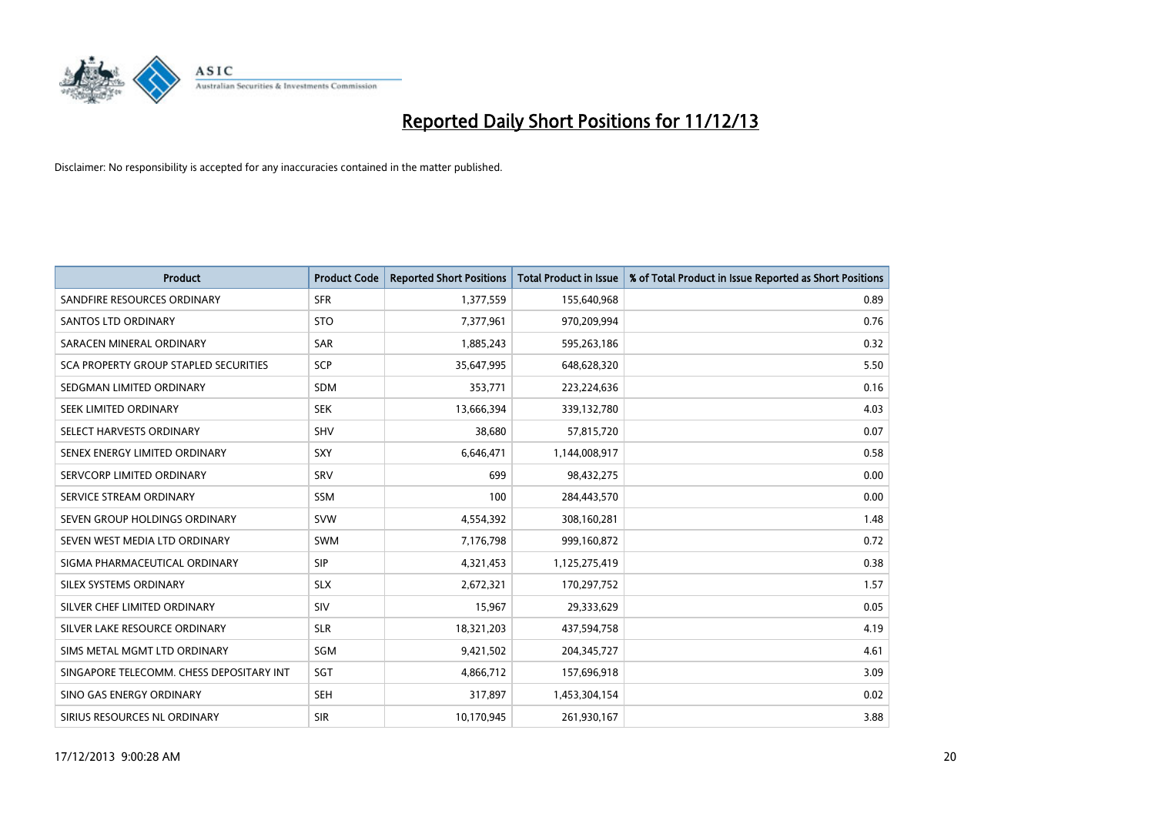

| <b>Product</b>                           | <b>Product Code</b> | <b>Reported Short Positions</b> | <b>Total Product in Issue</b> | % of Total Product in Issue Reported as Short Positions |
|------------------------------------------|---------------------|---------------------------------|-------------------------------|---------------------------------------------------------|
| SANDFIRE RESOURCES ORDINARY              | <b>SFR</b>          | 1,377,559                       | 155,640,968                   | 0.89                                                    |
| SANTOS LTD ORDINARY                      | <b>STO</b>          | 7,377,961                       | 970,209,994                   | 0.76                                                    |
| SARACEN MINERAL ORDINARY                 | <b>SAR</b>          | 1,885,243                       | 595,263,186                   | 0.32                                                    |
| SCA PROPERTY GROUP STAPLED SECURITIES    | <b>SCP</b>          | 35,647,995                      | 648,628,320                   | 5.50                                                    |
| SEDGMAN LIMITED ORDINARY                 | <b>SDM</b>          | 353,771                         | 223,224,636                   | 0.16                                                    |
| SEEK LIMITED ORDINARY                    | <b>SEK</b>          | 13,666,394                      | 339,132,780                   | 4.03                                                    |
| SELECT HARVESTS ORDINARY                 | <b>SHV</b>          | 38,680                          | 57,815,720                    | 0.07                                                    |
| SENEX ENERGY LIMITED ORDINARY            | SXY                 | 6,646,471                       | 1,144,008,917                 | 0.58                                                    |
| SERVCORP LIMITED ORDINARY                | SRV                 | 699                             | 98,432,275                    | 0.00                                                    |
| SERVICE STREAM ORDINARY                  | SSM                 | 100                             | 284,443,570                   | 0.00                                                    |
| SEVEN GROUP HOLDINGS ORDINARY            | <b>SVW</b>          | 4,554,392                       | 308,160,281                   | 1.48                                                    |
| SEVEN WEST MEDIA LTD ORDINARY            | <b>SWM</b>          | 7,176,798                       | 999,160,872                   | 0.72                                                    |
| SIGMA PHARMACEUTICAL ORDINARY            | <b>SIP</b>          | 4,321,453                       | 1,125,275,419                 | 0.38                                                    |
| SILEX SYSTEMS ORDINARY                   | <b>SLX</b>          | 2,672,321                       | 170,297,752                   | 1.57                                                    |
| SILVER CHEF LIMITED ORDINARY             | SIV                 | 15,967                          | 29,333,629                    | 0.05                                                    |
| SILVER LAKE RESOURCE ORDINARY            | <b>SLR</b>          | 18,321,203                      | 437,594,758                   | 4.19                                                    |
| SIMS METAL MGMT LTD ORDINARY             | SGM                 | 9,421,502                       | 204, 345, 727                 | 4.61                                                    |
| SINGAPORE TELECOMM. CHESS DEPOSITARY INT | SGT                 | 4,866,712                       | 157,696,918                   | 3.09                                                    |
| SINO GAS ENERGY ORDINARY                 | <b>SEH</b>          | 317,897                         | 1,453,304,154                 | 0.02                                                    |
| SIRIUS RESOURCES NL ORDINARY             | <b>SIR</b>          | 10,170,945                      | 261,930,167                   | 3.88                                                    |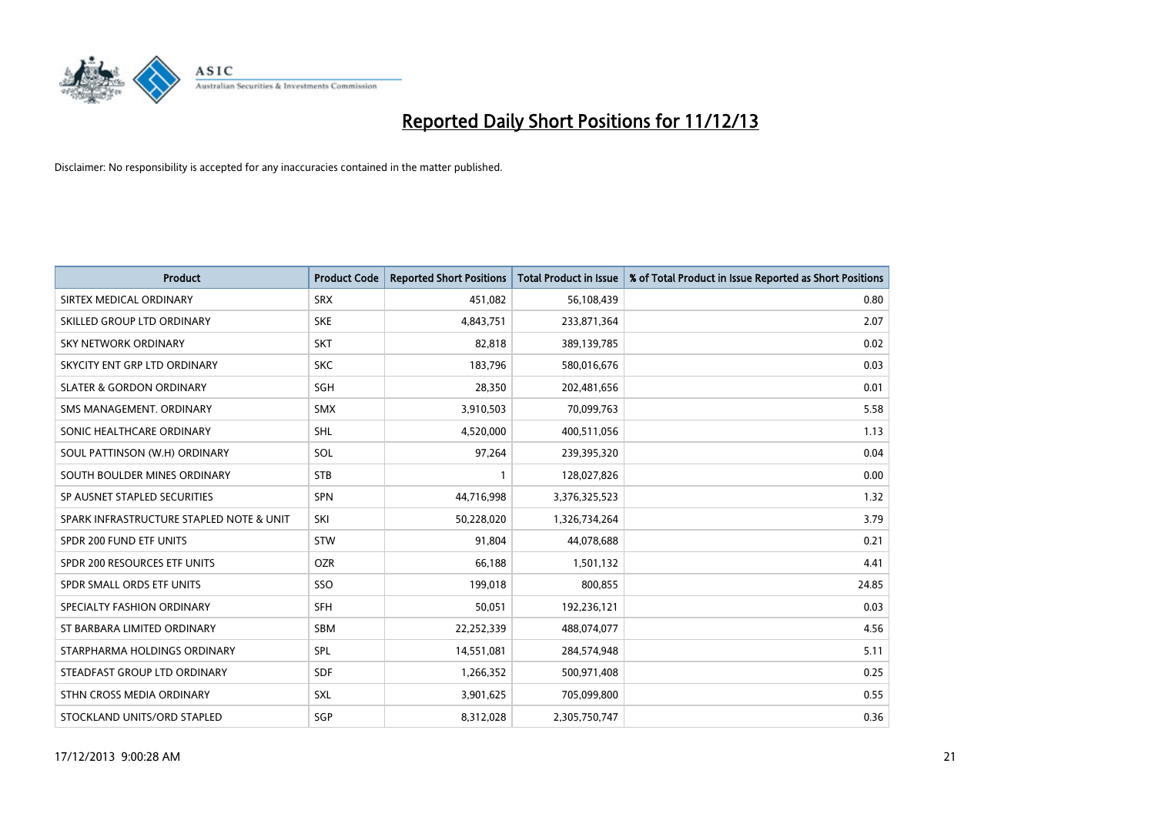

| <b>Product</b>                           | <b>Product Code</b> | <b>Reported Short Positions</b> | <b>Total Product in Issue</b> | % of Total Product in Issue Reported as Short Positions |
|------------------------------------------|---------------------|---------------------------------|-------------------------------|---------------------------------------------------------|
| SIRTEX MEDICAL ORDINARY                  | <b>SRX</b>          | 451,082                         | 56,108,439                    | 0.80                                                    |
| SKILLED GROUP LTD ORDINARY               | <b>SKE</b>          | 4,843,751                       | 233,871,364                   | 2.07                                                    |
| <b>SKY NETWORK ORDINARY</b>              | <b>SKT</b>          | 82,818                          | 389,139,785                   | 0.02                                                    |
| SKYCITY ENT GRP LTD ORDINARY             | <b>SKC</b>          | 183,796                         | 580,016,676                   | 0.03                                                    |
| <b>SLATER &amp; GORDON ORDINARY</b>      | SGH                 | 28,350                          | 202,481,656                   | 0.01                                                    |
| SMS MANAGEMENT, ORDINARY                 | <b>SMX</b>          | 3,910,503                       | 70,099,763                    | 5.58                                                    |
| SONIC HEALTHCARE ORDINARY                | <b>SHL</b>          | 4,520,000                       | 400,511,056                   | 1.13                                                    |
| SOUL PATTINSON (W.H) ORDINARY            | SOL                 | 97,264                          | 239,395,320                   | 0.04                                                    |
| SOUTH BOULDER MINES ORDINARY             | <b>STB</b>          | 1                               | 128,027,826                   | 0.00                                                    |
| SP AUSNET STAPLED SECURITIES             | <b>SPN</b>          | 44,716,998                      | 3,376,325,523                 | 1.32                                                    |
| SPARK INFRASTRUCTURE STAPLED NOTE & UNIT | SKI                 | 50,228,020                      | 1,326,734,264                 | 3.79                                                    |
| SPDR 200 FUND ETF UNITS                  | <b>STW</b>          | 91,804                          | 44,078,688                    | 0.21                                                    |
| SPDR 200 RESOURCES ETF UNITS             | <b>OZR</b>          | 66,188                          | 1,501,132                     | 4.41                                                    |
| SPDR SMALL ORDS ETF UNITS                | SSO                 | 199,018                         | 800,855                       | 24.85                                                   |
| SPECIALTY FASHION ORDINARY               | <b>SFH</b>          | 50,051                          | 192,236,121                   | 0.03                                                    |
| ST BARBARA LIMITED ORDINARY              | SBM                 | 22,252,339                      | 488,074,077                   | 4.56                                                    |
| STARPHARMA HOLDINGS ORDINARY             | SPL                 | 14,551,081                      | 284,574,948                   | 5.11                                                    |
| STEADFAST GROUP LTD ORDINARY             | <b>SDF</b>          | 1,266,352                       | 500,971,408                   | 0.25                                                    |
| STHN CROSS MEDIA ORDINARY                | SXL                 | 3,901,625                       | 705,099,800                   | 0.55                                                    |
| STOCKLAND UNITS/ORD STAPLED              | SGP                 | 8,312,028                       | 2,305,750,747                 | 0.36                                                    |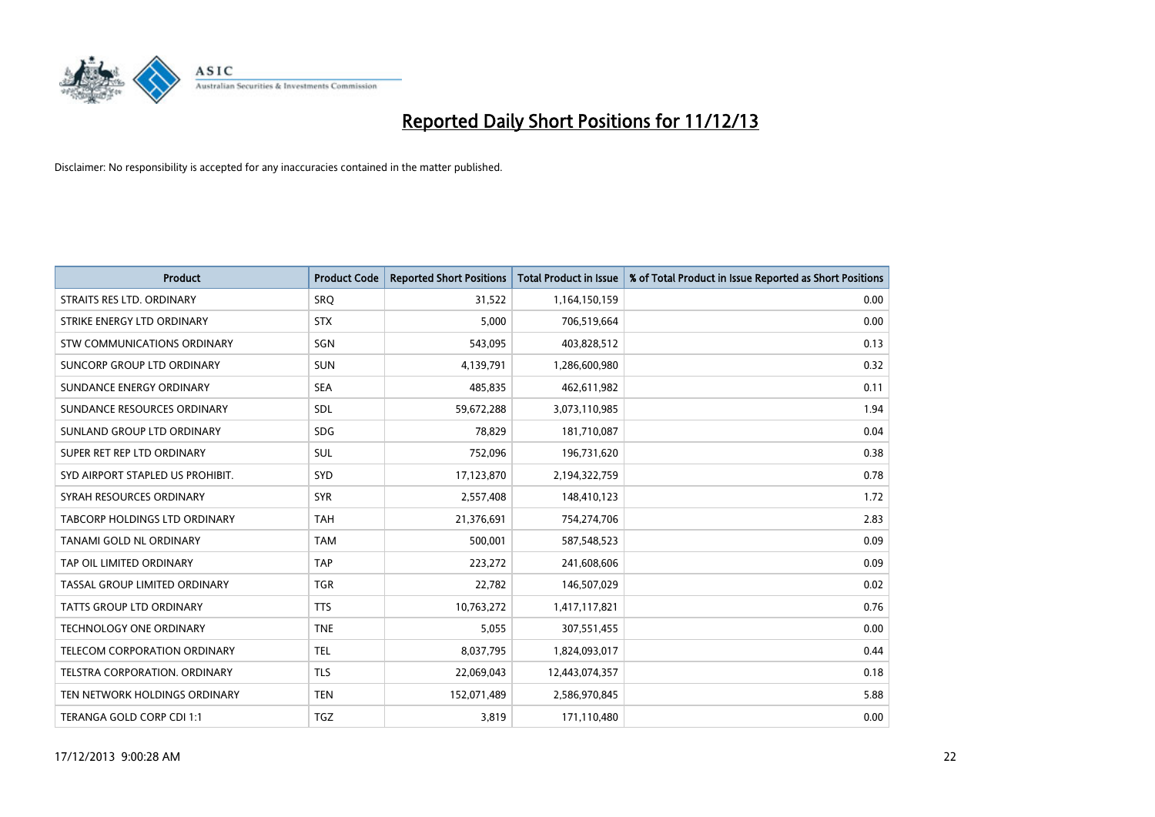

| <b>Product</b>                   | <b>Product Code</b> | <b>Reported Short Positions</b> | <b>Total Product in Issue</b> | % of Total Product in Issue Reported as Short Positions |
|----------------------------------|---------------------|---------------------------------|-------------------------------|---------------------------------------------------------|
| STRAITS RES LTD. ORDINARY        | <b>SRO</b>          | 31,522                          | 1,164,150,159                 | 0.00                                                    |
| STRIKE ENERGY LTD ORDINARY       | <b>STX</b>          | 5,000                           | 706,519,664                   | 0.00                                                    |
| STW COMMUNICATIONS ORDINARY      | SGN                 | 543,095                         | 403,828,512                   | 0.13                                                    |
| SUNCORP GROUP LTD ORDINARY       | <b>SUN</b>          | 4,139,791                       | 1,286,600,980                 | 0.32                                                    |
| SUNDANCE ENERGY ORDINARY         | <b>SEA</b>          | 485,835                         | 462,611,982                   | 0.11                                                    |
| SUNDANCE RESOURCES ORDINARY      | SDL                 | 59,672,288                      | 3,073,110,985                 | 1.94                                                    |
| SUNLAND GROUP LTD ORDINARY       | <b>SDG</b>          | 78,829                          | 181,710,087                   | 0.04                                                    |
| SUPER RET REP LTD ORDINARY       | SUL                 | 752,096                         | 196,731,620                   | 0.38                                                    |
| SYD AIRPORT STAPLED US PROHIBIT. | SYD                 | 17,123,870                      | 2,194,322,759                 | 0.78                                                    |
| SYRAH RESOURCES ORDINARY         | <b>SYR</b>          | 2,557,408                       | 148,410,123                   | 1.72                                                    |
| TABCORP HOLDINGS LTD ORDINARY    | <b>TAH</b>          | 21,376,691                      | 754,274,706                   | 2.83                                                    |
| TANAMI GOLD NL ORDINARY          | <b>TAM</b>          | 500,001                         | 587,548,523                   | 0.09                                                    |
| TAP OIL LIMITED ORDINARY         | <b>TAP</b>          | 223,272                         | 241,608,606                   | 0.09                                                    |
| TASSAL GROUP LIMITED ORDINARY    | <b>TGR</b>          | 22,782                          | 146,507,029                   | 0.02                                                    |
| <b>TATTS GROUP LTD ORDINARY</b>  | <b>TTS</b>          | 10,763,272                      | 1,417,117,821                 | 0.76                                                    |
| TECHNOLOGY ONE ORDINARY          | <b>TNE</b>          | 5,055                           | 307,551,455                   | 0.00                                                    |
| TELECOM CORPORATION ORDINARY     | <b>TEL</b>          | 8,037,795                       | 1,824,093,017                 | 0.44                                                    |
| TELSTRA CORPORATION. ORDINARY    | <b>TLS</b>          | 22,069,043                      | 12,443,074,357                | 0.18                                                    |
| TEN NETWORK HOLDINGS ORDINARY    | <b>TEN</b>          | 152,071,489                     | 2,586,970,845                 | 5.88                                                    |
| TERANGA GOLD CORP CDI 1:1        | <b>TGZ</b>          | 3,819                           | 171,110,480                   | 0.00                                                    |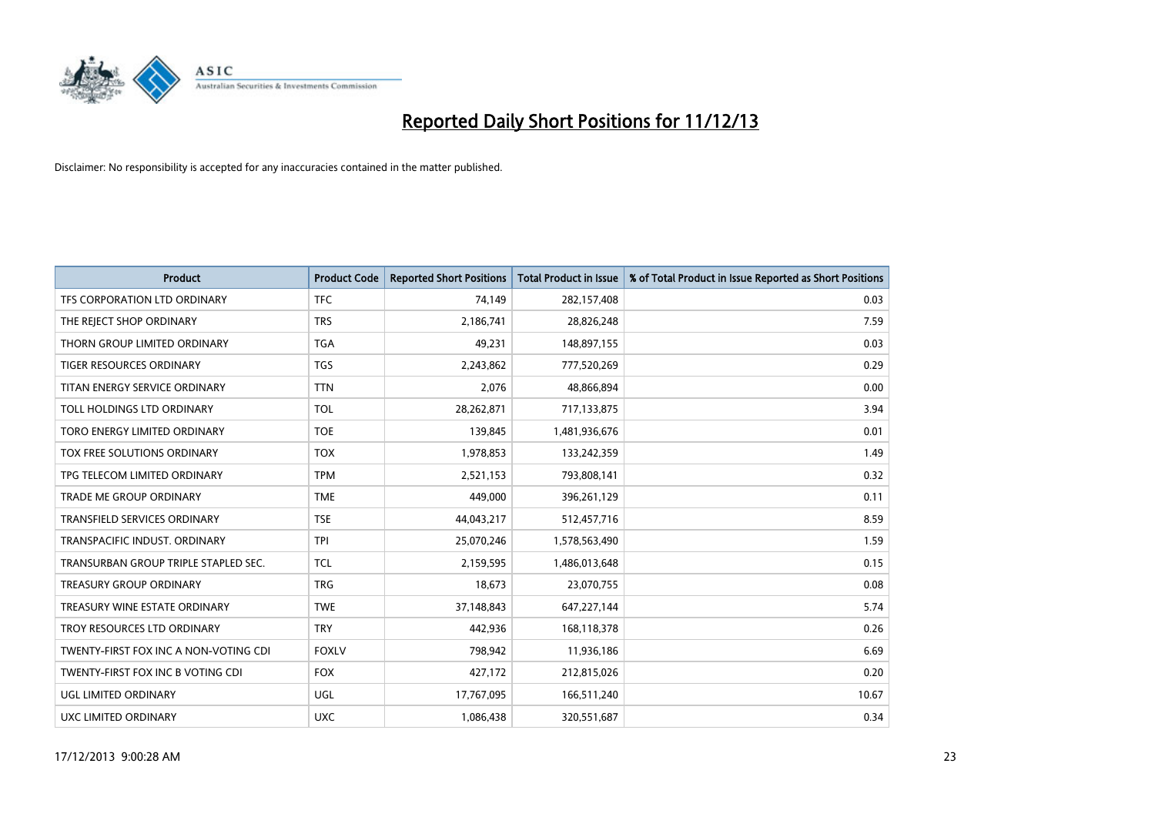

| <b>Product</b>                        | <b>Product Code</b> | <b>Reported Short Positions</b> | <b>Total Product in Issue</b> | % of Total Product in Issue Reported as Short Positions |
|---------------------------------------|---------------------|---------------------------------|-------------------------------|---------------------------------------------------------|
| TFS CORPORATION LTD ORDINARY          | <b>TFC</b>          | 74,149                          | 282,157,408                   | 0.03                                                    |
| THE REJECT SHOP ORDINARY              | <b>TRS</b>          | 2,186,741                       | 28,826,248                    | 7.59                                                    |
| THORN GROUP LIMITED ORDINARY          | <b>TGA</b>          | 49,231                          | 148,897,155                   | 0.03                                                    |
| <b>TIGER RESOURCES ORDINARY</b>       | <b>TGS</b>          | 2,243,862                       | 777,520,269                   | 0.29                                                    |
| TITAN ENERGY SERVICE ORDINARY         | <b>TTN</b>          | 2,076                           | 48,866,894                    | 0.00                                                    |
| TOLL HOLDINGS LTD ORDINARY            | <b>TOL</b>          | 28,262,871                      | 717,133,875                   | 3.94                                                    |
| TORO ENERGY LIMITED ORDINARY          | <b>TOE</b>          | 139,845                         | 1,481,936,676                 | 0.01                                                    |
| TOX FREE SOLUTIONS ORDINARY           | <b>TOX</b>          | 1,978,853                       | 133,242,359                   | 1.49                                                    |
| TPG TELECOM LIMITED ORDINARY          | <b>TPM</b>          | 2,521,153                       | 793,808,141                   | 0.32                                                    |
| <b>TRADE ME GROUP ORDINARY</b>        | <b>TME</b>          | 449,000                         | 396,261,129                   | 0.11                                                    |
| TRANSFIELD SERVICES ORDINARY          | <b>TSE</b>          | 44,043,217                      | 512,457,716                   | 8.59                                                    |
| TRANSPACIFIC INDUST. ORDINARY         | <b>TPI</b>          | 25,070,246                      | 1,578,563,490                 | 1.59                                                    |
| TRANSURBAN GROUP TRIPLE STAPLED SEC.  | <b>TCL</b>          | 2,159,595                       | 1,486,013,648                 | 0.15                                                    |
| <b>TREASURY GROUP ORDINARY</b>        | <b>TRG</b>          | 18,673                          | 23,070,755                    | 0.08                                                    |
| TREASURY WINE ESTATE ORDINARY         | <b>TWE</b>          | 37,148,843                      | 647,227,144                   | 5.74                                                    |
| TROY RESOURCES LTD ORDINARY           | <b>TRY</b>          | 442,936                         | 168,118,378                   | 0.26                                                    |
| TWENTY-FIRST FOX INC A NON-VOTING CDI | <b>FOXLV</b>        | 798,942                         | 11,936,186                    | 6.69                                                    |
| TWENTY-FIRST FOX INC B VOTING CDI     | <b>FOX</b>          | 427,172                         | 212,815,026                   | 0.20                                                    |
| UGL LIMITED ORDINARY                  | UGL                 | 17,767,095                      | 166,511,240                   | 10.67                                                   |
| UXC LIMITED ORDINARY                  | <b>UXC</b>          | 1,086,438                       | 320,551,687                   | 0.34                                                    |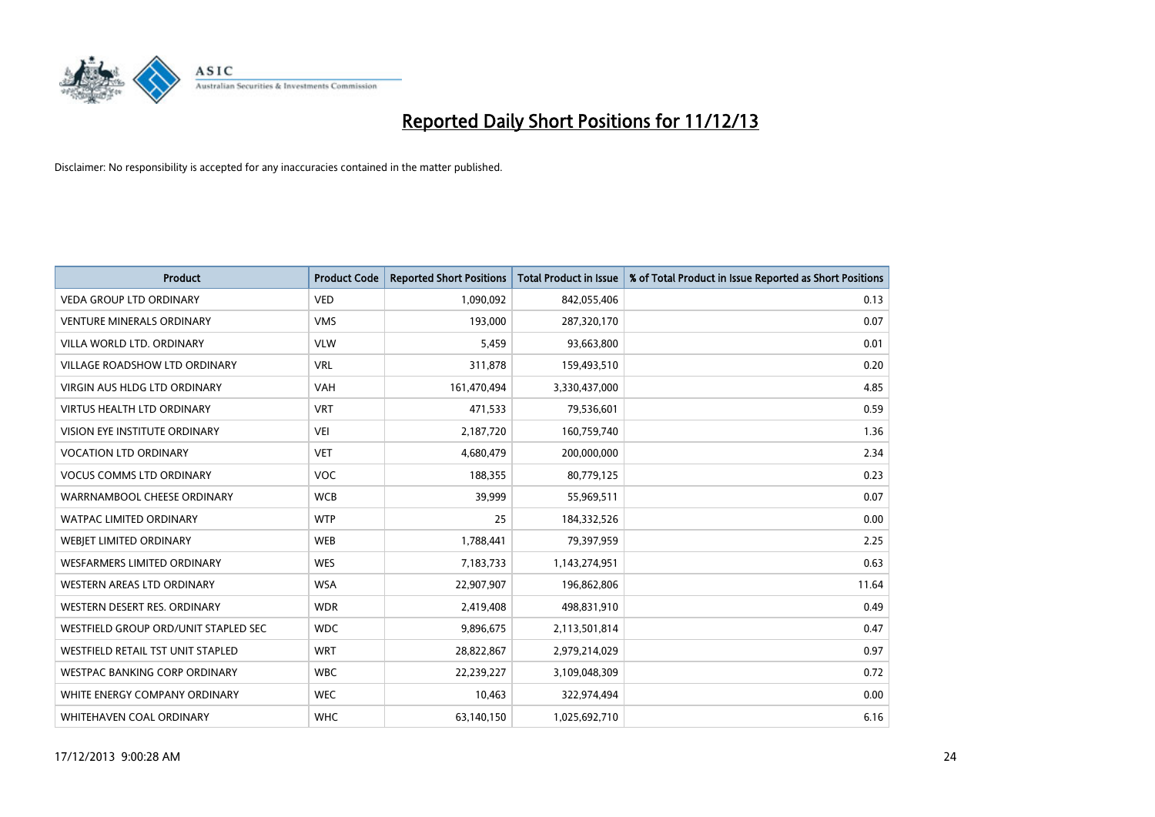

| <b>Product</b>                       | <b>Product Code</b> | <b>Reported Short Positions</b> | <b>Total Product in Issue</b> | % of Total Product in Issue Reported as Short Positions |
|--------------------------------------|---------------------|---------------------------------|-------------------------------|---------------------------------------------------------|
| <b>VEDA GROUP LTD ORDINARY</b>       | <b>VED</b>          | 1,090,092                       | 842,055,406                   | 0.13                                                    |
| <b>VENTURE MINERALS ORDINARY</b>     | <b>VMS</b>          | 193,000                         | 287,320,170                   | 0.07                                                    |
| VILLA WORLD LTD, ORDINARY            | <b>VLW</b>          | 5,459                           | 93,663,800                    | 0.01                                                    |
| VILLAGE ROADSHOW LTD ORDINARY        | <b>VRL</b>          | 311,878                         | 159,493,510                   | 0.20                                                    |
| <b>VIRGIN AUS HLDG LTD ORDINARY</b>  | <b>VAH</b>          | 161,470,494                     | 3,330,437,000                 | 4.85                                                    |
| <b>VIRTUS HEALTH LTD ORDINARY</b>    | <b>VRT</b>          | 471,533                         | 79,536,601                    | 0.59                                                    |
| VISION EYE INSTITUTE ORDINARY        | <b>VEI</b>          | 2,187,720                       | 160,759,740                   | 1.36                                                    |
| <b>VOCATION LTD ORDINARY</b>         | <b>VET</b>          | 4,680,479                       | 200,000,000                   | 2.34                                                    |
| <b>VOCUS COMMS LTD ORDINARY</b>      | <b>VOC</b>          | 188,355                         | 80,779,125                    | 0.23                                                    |
| WARRNAMBOOL CHEESE ORDINARY          | <b>WCB</b>          | 39,999                          | 55,969,511                    | 0.07                                                    |
| WATPAC LIMITED ORDINARY              | <b>WTP</b>          | 25                              | 184,332,526                   | 0.00                                                    |
| WEBIET LIMITED ORDINARY              | <b>WEB</b>          | 1,788,441                       | 79,397,959                    | 2.25                                                    |
| <b>WESFARMERS LIMITED ORDINARY</b>   | <b>WES</b>          | 7,183,733                       | 1,143,274,951                 | 0.63                                                    |
| WESTERN AREAS LTD ORDINARY           | <b>WSA</b>          | 22,907,907                      | 196,862,806                   | 11.64                                                   |
| WESTERN DESERT RES. ORDINARY         | <b>WDR</b>          | 2,419,408                       | 498,831,910                   | 0.49                                                    |
| WESTFIELD GROUP ORD/UNIT STAPLED SEC | <b>WDC</b>          | 9,896,675                       | 2,113,501,814                 | 0.47                                                    |
| WESTFIELD RETAIL TST UNIT STAPLED    | <b>WRT</b>          | 28,822,867                      | 2,979,214,029                 | 0.97                                                    |
| WESTPAC BANKING CORP ORDINARY        | <b>WBC</b>          | 22,239,227                      | 3,109,048,309                 | 0.72                                                    |
| WHITE ENERGY COMPANY ORDINARY        | <b>WEC</b>          | 10,463                          | 322,974,494                   | 0.00                                                    |
| WHITEHAVEN COAL ORDINARY             | <b>WHC</b>          | 63,140,150                      | 1,025,692,710                 | 6.16                                                    |